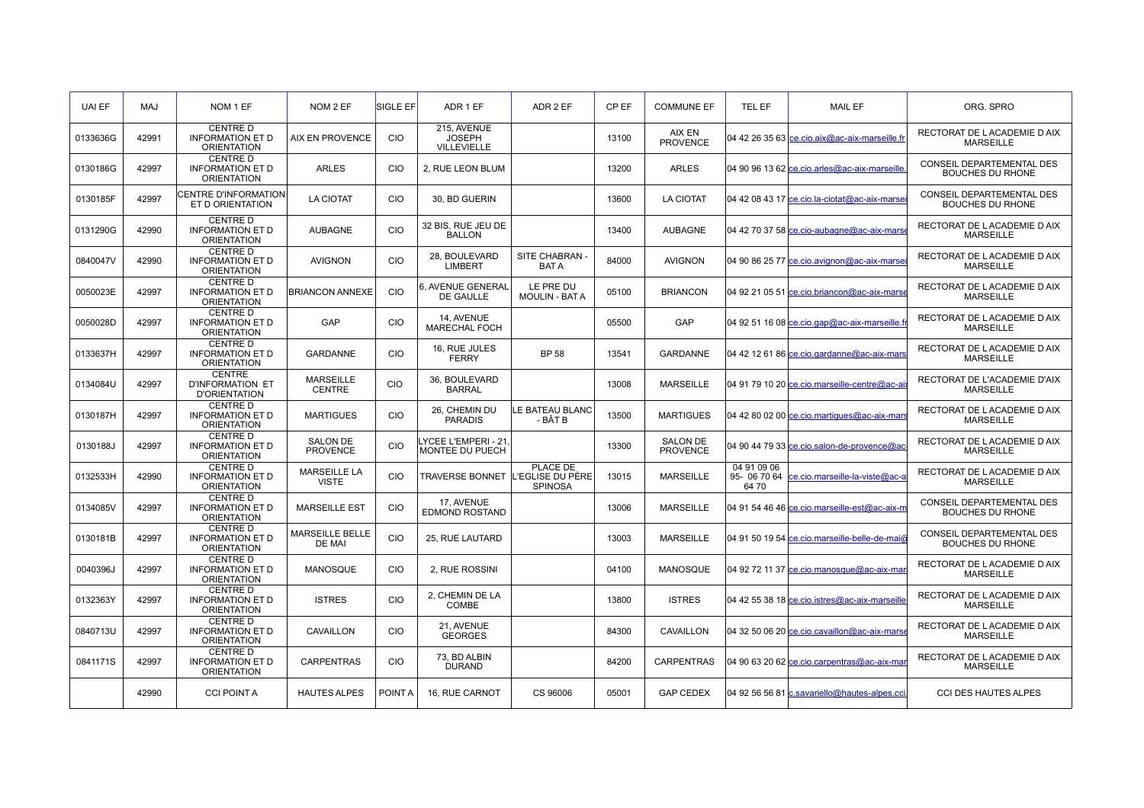| UAI EF   | <b>MAJ</b> | NOM 1 EF                                                         | NOM 2 EF                            | SIGLE EF   | ADR 1 EF                                    | ADR 2 EF                           | CP EF | <b>COMMUNE EF</b>                  | TEL EF               | <b>MAIL EF</b>                                | ORG. SPRO                                                   |
|----------|------------|------------------------------------------------------------------|-------------------------------------|------------|---------------------------------------------|------------------------------------|-------|------------------------------------|----------------------|-----------------------------------------------|-------------------------------------------------------------|
| 0133636G | 42991      | CENTRE D<br><b>INFORMATION ET D</b><br><b>ORIENTATION</b>        | AIX EN PROVENCE                     | CIO        | 215. AVENUE<br><b>JOSEPH</b><br>VILLEVIELLE |                                    | 13100 | AIX EN<br><b>PROVENCE</b>          |                      | 04 42 26 35 63 ce.cio.aix@ac-aix-marseille.fr | RECTORAT DE LACADEMIE D AIX<br><b>MARSEILLE</b>             |
| 0130186G | 42997      | <b>CENTRE D</b><br><b>INFORMATION ET D</b><br><b>ORIENTATION</b> | <b>ARLES</b>                        | <b>CIO</b> | 2. RUE LEON BLUM                            |                                    | 13200 | <b>ARLES</b>                       |                      | 04 90 96 13 62 ce.cio.arles@ac-aix-marseille  | CONSEIL DEPARTEMENTAL DES<br><b>BOUCHES DU RHONE</b>        |
| 0130185F | 42997      | <b>CENTRE D'INFORMATION</b><br>ET D ORIENTATION                  | <b>LA CIOTAT</b>                    | <b>CIO</b> | 30, BD GUERIN                               |                                    | 13600 | <b>LA CIOTAT</b>                   |                      | 04 42 08 43 17 ce.cio.la-ciotat@ac-aix-marsei | CONSEIL DEPARTEMENTAL DES<br><b>BOUCHES DU RHONE</b>        |
| 0131290G | 42990      | <b>CENTRE D</b><br><b>INFORMATION ET D</b><br><b>ORIENTATION</b> | <b>AUBAGNE</b>                      | <b>CIO</b> | 32 BIS, RUE JEU DE<br><b>BALLON</b>         |                                    | 13400 | <b>AUBAGNE</b>                     |                      | 04 42 70 37 58 ce.cio-aubagne@ac-aix-marse    | RECTORAT DE LACADEMIE D AIX<br><b>MARSEILLE</b>             |
| 0840047V | 42990      | <b>CENTRE D</b><br><b>INFORMATION ET D</b><br><b>ORIENTATION</b> | <b>AVIGNON</b>                      | <b>CIO</b> | 28. BOULEVARD<br><b>LIMBERT</b>             | SITE CHABRAN<br><b>BATA</b>        | 84000 | <b>AVIGNON</b>                     |                      | 04 90 86 25 77 ce.cio.avignon@ac-aix-marsei   | RECTORAT DE LACADEMIE D AIX<br><b>MARSEILLE</b>             |
| 0050023E | 42997      | <b>CENTRE D</b><br><b>INFORMATION ET D</b><br><b>ORIENTATION</b> | <b>BRIANCON ANNEXE</b>              | <b>CIO</b> | 6. AVENUE GENERAL<br>DE GAULLE              | LE PRE DU<br><b>MOULIN - BAT A</b> | 05100 | <b>BRIANCON</b>                    |                      | 04 92 21 05 51 ce.cio.briancon@ac-aix-marse   | RECTORAT DE LACADEMIE D AIX<br><b>MARSEILLE</b>             |
| 0050028D | 42997      | <b>CENTRE D</b><br><b>INFORMATION ET D</b><br><b>ORIENTATION</b> | <b>GAP</b>                          | <b>CIO</b> | 14. AVENUE<br><b>MARECHAL FOCH</b>          |                                    | 05500 | GAP                                |                      | 04 92 51 16 08 ce.cio.gap@ac-aix-marseille.fr | RECTORAT DE LACADEMIE D AIX<br><b>MARSEILLE</b>             |
| 0133637H | 42997      | <b>CENTRE D</b><br><b>INFORMATION ET D</b><br><b>ORIENTATION</b> | GARDANNE                            | <b>CIO</b> | 16. RUE JULES<br><b>FERRY</b>               | <b>BP 58</b>                       | 13541 | <b>GARDANNE</b>                    |                      | 04 42 12 61 86 ce.cio.gardanne@ac-aix-mars    | RECTORAT DE LACADEMIE D AIX<br><b>MARSEILLE</b>             |
| 0134084U | 42997      | <b>CENTRE</b><br><b>D'INFORMATION ET</b><br><b>D'ORIENTATION</b> | <b>MARSEILLE</b><br><b>CENTRE</b>   | CIO        | 36. BOULEVARD<br><b>BARRAL</b>              |                                    | 13008 | <b>MARSEILLE</b>                   |                      | 04 91 79 10 20 ce.cio.marseille-centre@ac-ai  | RECTORAT DE L'ACADEMIE D'AIX<br><b>MARSEILLE</b>            |
| 0130187H | 42997      | <b>CENTRE D</b><br><b>INFORMATION ET D</b><br><b>ORIENTATION</b> | <b>MARTIGUES</b>                    | <b>CIO</b> | 26. CHEMIN DU<br><b>PARADIS</b>             | LE BATEAU BLANC<br>- BÂT B         | 13500 | <b>MARTIGUES</b>                   |                      | 04 42 80 02 00 ce.cio.martiques@ac-aix-mars   | RECTORAT DE LACADEMIE D AIX<br><b>MARSEILLE</b>             |
| 0130188J | 42997      | <b>CENTRE D</b><br><b>INFORMATION ET D</b><br><b>ORIENTATION</b> | <b>SALON DE</b><br><b>PROVENCE</b>  | CIO        | YCEE L'EMPERI - 21<br>MONTEE DU PUECH       |                                    | 13300 | <b>SALON DE</b><br><b>PROVENCE</b> |                      | 04 90 44 79 33 ce.cio.salon-de-provence@ac    | RECTORAT DE LACADEMIE D AIX<br><b>MARSEILLE</b>             |
| 0132533H | 42990      | <b>CENTRE D</b><br><b>INFORMATION ET D</b><br><b>ORIENTATION</b> | <b>MARSEILLE LA</b><br><b>VISTE</b> | <b>CIO</b> | TRAVERSE BONNET İL'EGLISE DU PÈRE           | PLACE DE<br><b>SPINOSA</b>         | 13015 | <b>MARSEILLE</b>                   | 04 91 09 06<br>64 70 | 95- 06 70 64 ce.cio.marseille-la-viste@ac-a   | RECTORAT DE LACADEMIE D AIX<br><b>MARSEILLE</b>             |
| 0134085V | 42997      | <b>CENTRE D</b><br><b>INFORMATION ET D</b><br><b>ORIENTATION</b> | <b>MARSEILLE EST</b>                | CIO        | 17. AVENUE<br>EDMOND ROSTAND                |                                    | 13006 | <b>MARSEILLE</b>                   |                      | 04 91 54 46 46 ce.cio.marseille-est@ac-aix-m  | <b>CONSEIL DEPARTEMENTAL DES</b><br><b>BOUCHES DU RHONE</b> |
| 0130181B | 42997      | <b>CENTRE D</b><br><b>INFORMATION ET D</b><br><b>ORIENTATION</b> | <b>MARSEILLE BELLE</b><br>DE MAI    | <b>CIO</b> | 25, RUE LAUTARD                             |                                    | 13003 | <b>MARSEILLE</b>                   |                      | 04 91 50 19 54 ce.cio.marseille-belle-de-mai@ | <b>CONSEIL DEPARTEMENTAL DES</b><br><b>BOUCHES DU RHONE</b> |
| 0040396J | 42997      | <b>CENTRE D</b><br><b>INFORMATION ET D</b><br><b>ORIENTATION</b> | <b>MANOSQUE</b>                     | <b>CIO</b> | 2. RUE ROSSINI                              |                                    | 04100 | <b>MANOSQUE</b>                    |                      | 04 92 72 11 37 ce.cio.manosque@ac-aix-mar     | RECTORAT DE LACADEMIE D AIX<br><b>MARSEILLE</b>             |
| 0132363Y | 42997      | <b>CENTRE D</b><br><b>INFORMATION ET D</b><br><b>ORIENTATION</b> | <b>ISTRES</b>                       | <b>CIO</b> | 2. CHEMIN DE LA<br>COMBE                    |                                    | 13800 | <b>ISTRES</b>                      |                      | 04 42 55 38 18 ce.cio.istres@ac-aix-marseille | RECTORAT DE LACADEMIE D AIX<br><b>MARSEILLE</b>             |
| 0840713U | 42997      | <b>CENTRE D</b><br><b>INFORMATION ET D</b><br><b>ORIENTATION</b> | CAVAILLON                           | <b>CIO</b> | 21, AVENUE<br><b>GEORGES</b>                |                                    | 84300 | CAVAILLON                          |                      | 04 32 50 06 20 ce.cio.cavaillon@ac-aix-marse  | RECTORAT DE LACADEMIE D AIX<br><b>MARSEILLE</b>             |
| 0841171S | 42997      | <b>CENTRE D</b><br><b>INFORMATION ET D</b><br><b>ORIENTATION</b> | <b>CARPENTRAS</b>                   | <b>CIO</b> | 73. BD ALBIN<br><b>DURAND</b>               |                                    | 84200 | <b>CARPENTRAS</b>                  |                      | 04 90 63 20 62 ce.cio.carpentras@ac-aix-mar   | RECTORAT DE LACADEMIE D AIX<br><b>MARSEILLE</b>             |
|          | 42990      | <b>CCI POINT A</b>                                               | <b>HAUTES ALPES</b>                 | POINT A    | 16. RUE CARNOT                              | CS 96006                           | 05001 | <b>GAP CEDEX</b>                   |                      | 04 92 56 56 81 c, savariello@hautes-alpes.cci | <b>CCI DES HAUTES ALPES</b>                                 |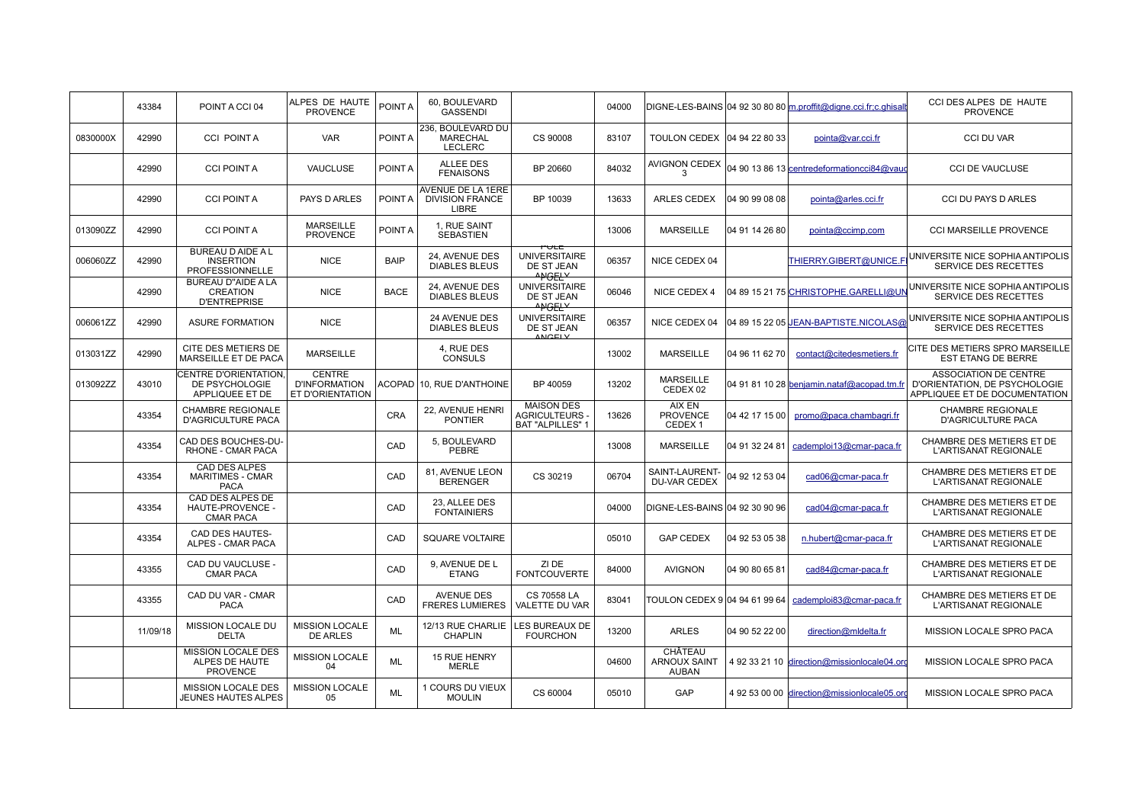|          | 43384    | POINT A CCI 04                                                      | ALPES DE HAUTE<br><b>PROVENCE</b>                         | POINT A     | 60. BOULEVARD<br><b>GASSENDI</b>                       |                                                                     | 04000 |                                                 |                | DIGNE-LES-BAINS 04 92 30 80 80 m.proffit@digne.cci.fr;c.ghisall | CCI DES ALPES DE HAUTE<br><b>PROVENCE</b>                                                                                                 |
|----------|----------|---------------------------------------------------------------------|-----------------------------------------------------------|-------------|--------------------------------------------------------|---------------------------------------------------------------------|-------|-------------------------------------------------|----------------|-----------------------------------------------------------------|-------------------------------------------------------------------------------------------------------------------------------------------|
| 0830000X | 42990    | <b>CCI POINTA</b>                                                   | <b>VAR</b>                                                | POINT A     | 236, BOULEVARD DU<br><b>MARECHAL</b><br><b>LECLERC</b> | CS 90008                                                            | 83107 | TOULON CEDEX   04 94 22 80 33                   |                | pointa@var.cci.fr                                               | <b>CCI DU VAR</b>                                                                                                                         |
|          | 42990    | <b>CCI POINT A</b>                                                  | VAUCLUSE                                                  | POINT A     | <b>ALLEE DES</b><br><b>FENAISONS</b>                   | BP 20660                                                            | 84032 | AVIGNON CEDEX<br>3                              |                | 04 90 13 86 13 centredeformationcci84@vaud                      | <b>CCI DE VAUCLUSE</b>                                                                                                                    |
|          | 42990    | <b>CCI POINT A</b>                                                  | <b>PAYS D ARLES</b>                                       | POINT A     | AVENUE DE LA 1ERE<br><b>DIVISION FRANCE</b><br>LIBRE   | BP 10039                                                            | 13633 | <b>ARLES CEDEX</b>                              | 04 90 99 08 08 | pointa@arles.cci.fr                                             | <b>CCI DU PAYS D ARLES</b>                                                                                                                |
| 013090ZZ | 42990    | <b>CCI POINT A</b>                                                  | <b>MARSEILLE</b><br><b>PROVENCE</b>                       | POINT A     | 1, RUE SAINT<br><b>SEBASTIEN</b>                       |                                                                     | 13006 | <b>MARSEILLE</b>                                | 04 91 14 26 80 | pointa@ccimp.com                                                | <b>CCI MARSEILLE PROVENCE</b>                                                                                                             |
| 006060ZZ | 42990    | <b>BUREAU D AIDE A L</b><br><b>INSERTION</b><br>PROFESSIONNELLE     | <b>NICE</b>                                               | <b>BAIP</b> | 24, AVENUE DES<br><b>DIABLES BLEUS</b>                 | PULE<br><b>UNIVERSITAIRE</b><br>DE ST JEAN<br>ANGELY                | 06357 | NICE CEDEX 04                                   |                | THIERRY.GIBERT@UNICE.F                                          | UNIVERSITE NICE SOPHIA ANTIPOLIS<br>SERVICE DES RECETTES                                                                                  |
|          | 42990    | <b>BUREAU D"AIDE A LA</b><br><b>CREATION</b><br><b>D'ENTREPRISE</b> | <b>NICE</b>                                               | <b>BACE</b> | 24, AVENUE DES<br><b>DIABLES BLEUS</b>                 | <b>UNIVERSITAIRE</b><br>DE ST JEAN<br>ANGELY                        | 06046 | NICE CEDEX 4                                    |                | 04 89 15 21 75 CHRISTOPHE.GARELLI@UN                            | UNIVERSITE NICE SOPHIA ANTIPOLIS<br>SERVICE DES RECETTES                                                                                  |
| 006061ZZ | 42990    | <b>ASURE FORMATION</b>                                              | <b>NICE</b>                                               |             | 24 AVENUE DES<br><b>DIABLES BLEUS</b>                  | <b>UNIVERSITAIRE</b><br>DE ST JEAN<br><b>ANGELY</b>                 | 06357 | NICE CEDEX 04                                   |                | 04 89 15 22 05 JEAN-BAPTISTE.NICOLAS@                           | UNIVERSITE NICE SOPHIA ANTIPOLIS<br>SERVICE DES RECETTES                                                                                  |
| 013031ZZ | 42990    | CITE DES METIERS DE<br>MARSEILLE ET DE PACA                         | <b>MARSEILLE</b>                                          |             | 4. RUE DES<br><b>CONSULS</b>                           |                                                                     | 13002 | <b>MARSEILLE</b>                                | 04 96 11 62 70 | contact@citedesmetiers.fr                                       | CITE DES METIERS SPRO MARSEILLE<br><b>EST ETANG DE BERRE</b>                                                                              |
| 013092ZZ | 43010    | CENTRE D'ORIENTATION.<br>DE PSYCHOLOGIE<br>APPLIQUEE ET DE          | <b>CENTRE</b><br><b>D'INFORMATION</b><br>ET D'ORIENTATION |             | ACOPAD 10. RUE D'ANTHOINE                              | BP 40059                                                            | 13202 | <b>MARSEILLE</b><br>CEDEX 02                    |                |                                                                 | <b>ASSOCIATION DE CENTRE</b><br>04 91 81 10 28 benjamin.nataf@acopad.tm.fr D'ORIENTATION, DE PSYCHOLOGIE<br>APPLIQUEE ET DE DOCUMENTATION |
|          | 43354    | <b>CHAMBRE REGIONALE</b><br><b>D'AGRICULTURE PACA</b>               |                                                           | <b>CRA</b>  | 22, AVENUE HENRI<br><b>PONTIER</b>                     | <b>MAISON DES</b><br><b>AGRICULTEURS</b><br><b>BAT "ALPILLES" 1</b> | 13626 | AIX EN<br><b>PROVENCE</b><br>CEDEX <sub>1</sub> | 04 42 17 15 00 | promo@paca.chambagri.fr                                         | <b>CHAMBRE REGIONALE</b><br><b>D'AGRICULTURE PACA</b>                                                                                     |
|          | 43354    | CAD DES BOUCHES-DU-<br>RHONE - CMAR PACA                            |                                                           | CAD         | 5, BOULEVARD<br>PEBRE                                  |                                                                     | 13008 | <b>MARSEILLE</b>                                | 04 91 32 24 81 | cademploi13@cmar-paca.fr                                        | CHAMBRE DES METIERS ET DE<br><b>L'ARTISANAT REGIONALE</b>                                                                                 |
|          | 43354    | <b>CAD DES ALPES</b><br><b>MARITIMES - CMAR</b><br><b>PACA</b>      |                                                           | CAD         | 81, AVENUE LEON<br><b>BERENGER</b>                     | CS 30219                                                            | 06704 | SAINT-LAURENT-<br><b>DU-VAR CEDEX</b>           | 04 92 12 53 04 | cad06@cmar-paca.fr                                              | CHAMBRE DES METIERS ET DE<br>L'ARTISANAT REGIONALE                                                                                        |
|          | 43354    | CAD DES ALPES DE<br>HAUTE-PROVENCE -<br><b>CMAR PACA</b>            |                                                           | CAD         | 23. ALLEE DES<br><b>FONTAINIERS</b>                    |                                                                     | 04000 | DIGNE-LES-BAINS 04 92 30 90 96                  |                | cad04@cmar-paca.fr                                              | CHAMBRE DES METIERS ET DE<br>L'ARTISANAT REGIONALE                                                                                        |
|          | 43354    | CAD DES HAUTES-<br>ALPES - CMAR PACA                                |                                                           | CAD         | <b>SQUARE VOLTAIRE</b>                                 |                                                                     | 05010 | <b>GAP CEDEX</b>                                | 04 92 53 05 38 | n.hubert@cmar-paca.fr                                           | CHAMBRE DES METIERS ET DE<br><b>L'ARTISANAT REGIONALE</b>                                                                                 |
|          | 43355    | CAD DU VAUCLUSE -<br><b>CMAR PACA</b>                               |                                                           | CAD         | 9, AVENUE DE L<br><b>ETANG</b>                         | ZI DE<br><b>FONTCOUVERTE</b>                                        | 84000 | <b>AVIGNON</b>                                  | 04 90 80 65 81 | cad84@cmar-paca.fr                                              | CHAMBRE DES METIERS ET DE<br><b>L'ARTISANAT REGIONALE</b>                                                                                 |
|          | 43355    | CAD DU VAR - CMAR<br><b>PACA</b>                                    |                                                           | CAD         | <b>AVENUE DES</b><br><b>FRERES LUMIERES</b>            | CS 70558 LA<br><b>VALETTE DU VAR</b>                                | 83041 | TOULON CEDEX 9 04 94 61 99 64                   |                | cademploi83@cmar-paca.fr                                        | CHAMBRE DES METIERS ET DE<br>L'ARTISANAT REGIONALE                                                                                        |
|          | 11/09/18 | <b>MISSION LOCALE DU</b><br><b>DELTA</b>                            | <b>MISSION LOCALE</b><br><b>DE ARLES</b>                  | <b>ML</b>   | 12/13 RUE CHARLIE<br><b>CHAPLIN</b>                    | LES BUREAUX DE<br><b>FOURCHON</b>                                   | 13200 | <b>ARLES</b>                                    | 04 90 52 22 00 | direction@mldelta.fr                                            | MISSION LOCALE SPRO PACA                                                                                                                  |
|          |          | MISSION LOCALE DES<br>ALPES DE HAUTE<br><b>PROVENCE</b>             | <b>MISSION LOCALE</b><br>04                               | <b>ML</b>   | 15 RUE HENRY<br><b>MERLE</b>                           |                                                                     | 04600 | CHÂTEAU<br><b>ARNOUX SAINT</b><br><b>AUBAN</b>  |                | 4 92 33 21 10 direction@missionlocale04.org                     | MISSION LOCALE SPRO PACA                                                                                                                  |
|          |          | MISSION LOCALE DES<br><b>JEUNES HAUTES ALPES</b>                    | MISSION LOCALE<br>05                                      | <b>ML</b>   | 1 COURS DU VIEUX<br><b>MOULIN</b>                      | CS 60004                                                            | 05010 | GAP                                             |                | 4 92 53 00 00 direction@missionlocale05.org                     | MISSION LOCALE SPRO PACA                                                                                                                  |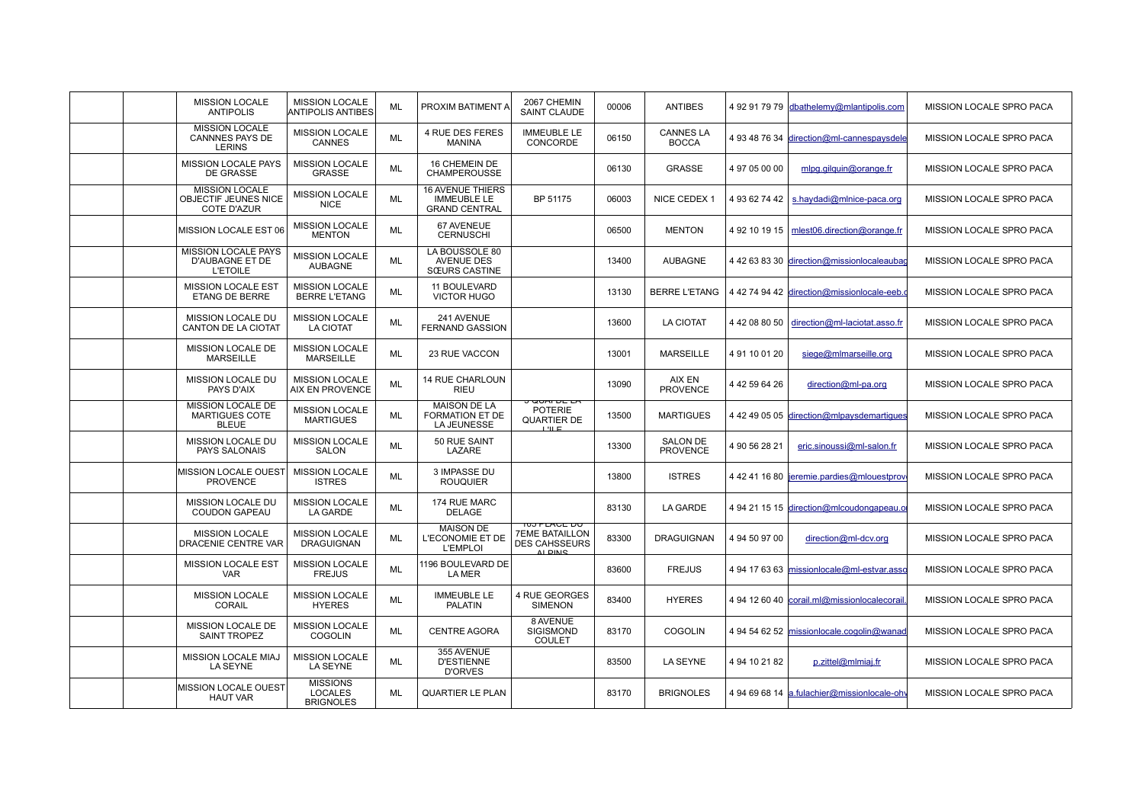|  | <b>MISSION LOCALE</b><br><b>ANTIPOLIS</b>                           | <b>MISSION LOCALE</b><br><b>ANTIPOLIS ANTIBES</b>     | ML        | PROXIM BATIMENT A                                                     | 2067 CHEMIN<br><b>SAINT CLAUDE</b>                                             | 00006 | <b>ANTIBES</b>                     |               | 4 92 91 79 79 dbathelemy@mlantipolis.com    | <b>MISSION LOCALE SPRO PACA</b> |
|--|---------------------------------------------------------------------|-------------------------------------------------------|-----------|-----------------------------------------------------------------------|--------------------------------------------------------------------------------|-------|------------------------------------|---------------|---------------------------------------------|---------------------------------|
|  | <b>MISSION LOCALE</b><br><b>CANNNES PAYS DE</b><br><b>LERINS</b>    | <b>MISSION LOCALE</b><br><b>CANNES</b>                | ML        | <b>4 RUE DES FERES</b><br><b>MANINA</b>                               | <b>IMMEUBLE LE</b><br>CONCORDE                                                 | 06150 | <b>CANNES LA</b><br><b>BOCCA</b>   |               | 4 93 48 76 34 direction@ml-cannespaysdele   | <b>MISSION LOCALE SPRO PACA</b> |
|  | MISSION LOCALE PAYS<br>DE GRASSE                                    | <b>MISSION LOCALE</b><br><b>GRASSE</b>                | <b>ML</b> | 16 CHEMEIN DE<br><b>CHAMPEROUSSE</b>                                  |                                                                                | 06130 | <b>GRASSE</b>                      | 4 97 05 00 00 | mlpg.gilquin@orange.fr                      | MISSION LOCALE SPRO PACA        |
|  | <b>MISSION LOCALE</b><br>OBJECTIF JEUNES NICE<br><b>COTE D'AZUR</b> | <b>MISSION LOCALE</b><br><b>NICE</b>                  | <b>ML</b> | <b>16 AVENUE THIERS</b><br><b>IMMEUBLE LE</b><br><b>GRAND CENTRAL</b> | BP 51175                                                                       | 06003 | NICE CEDEX 1                       | 4 93 62 74 42 | s.haydadi@mlnice-paca.org                   | <b>MISSION LOCALE SPRO PACA</b> |
|  | MISSION LOCALE EST 06                                               | <b>MISSION LOCALE</b><br><b>MENTON</b>                | <b>ML</b> | 67 AVENEUE<br><b>CERNUSCHI</b>                                        |                                                                                | 06500 | <b>MENTON</b>                      |               | 4 92 10 19 15   mlest06.direction@orange.fr | <b>MISSION LOCALE SPRO PACA</b> |
|  | MISSION LOCALE PAYS<br><b>D'AUBAGNE ET DE</b><br><b>L'ETOILE</b>    | <b>MISSION LOCALE</b><br><b>AUBAGNE</b>               | ML        | LA BOUSSOLE 80<br><b>AVENUE DES</b><br><b>SŒURS CASTINE</b>           |                                                                                | 13400 | <b>AUBAGNE</b>                     |               | 4 42 63 83 30 direction@missionlocaleaubac  | <b>MISSION LOCALE SPRO PACA</b> |
|  | MISSION LOCALE EST<br><b>ETANG DE BERRE</b>                         | <b>MISSION LOCALE</b><br><b>BERRE L'ETANG</b>         | ML        | 11 BOULEVARD<br><b>VICTOR HUGO</b>                                    |                                                                                | 13130 | <b>BERRE L'ETANG</b>               |               | 4 42 74 94 42 direction@missionlocale-eeb.  | <b>MISSION LOCALE SPRO PACA</b> |
|  | <b>MISSION LOCALE DU</b><br><b>CANTON DE LA CIOTAT</b>              | <b>MISSION LOCALE</b><br><b>LA CIOTAT</b>             | <b>ML</b> | 241 AVENUE<br><b>FERNAND GASSION</b>                                  |                                                                                | 13600 | <b>LA CIOTAT</b>                   | 4 42 08 80 50 | direction@ml-laciotat.asso.fr               | MISSION LOCALE SPRO PACA        |
|  | MISSION LOCALE DE<br><b>MARSEILLE</b>                               | <b>MISSION LOCALE</b><br><b>MARSEILLE</b>             | <b>ML</b> | 23 RUE VACCON                                                         |                                                                                | 13001 | <b>MARSEILLE</b>                   | 491100120     | siege@mlmarseille.org                       | <b>MISSION LOCALE SPRO PACA</b> |
|  | MISSION LOCALE DU<br>PAYS D'AIX                                     | <b>MISSION LOCALE</b><br><b>AIX EN PROVENCE</b>       | <b>ML</b> | 14 RUE CHARLOUN<br><b>RIEU</b>                                        |                                                                                | 13090 | AIX EN<br><b>PROVENCE</b>          | 4 42 59 64 26 | direction@ml-pa.org                         | <b>MISSION LOCALE SPRO PACA</b> |
|  | <b>MISSION LOCALE DE</b><br><b>MARTIGUES COTE</b><br><b>BLEUE</b>   | <b>MISSION LOCALE</b><br><b>MARTIGUES</b>             | ML        | <b>MAISON DE LA</b><br>FORMATION ET DE<br>LA JEUNESSE                 | <del>J QUAI DE LA</del><br><b>POTERIE</b><br>QUARTIER DE<br>理理                 | 13500 | <b>MARTIGUES</b>                   |               | 4 42 49 05 05 direction@mlpaysdemartiques   | MISSION LOCALE SPRO PACA        |
|  | MISSION LOCALE DU<br>PAYS SALONAIS                                  | <b>MISSION LOCALE</b><br><b>SALON</b>                 | ML        | 50 RUE SAINT<br>LAZARE                                                |                                                                                | 13300 | <b>SALON DE</b><br><b>PROVENCE</b> | 4 90 56 28 21 | eric.sinoussi@ml-salon.fr                   | <b>MISSION LOCALE SPRO PACA</b> |
|  | <b>MISSION LOCALE OUEST</b><br><b>PROVENCE</b>                      | <b>MISSION LOCALE</b><br><b>ISTRES</b>                | <b>ML</b> | 3 IMPASSE DU<br><b>ROUQUIER</b>                                       |                                                                                | 13800 | <b>ISTRES</b>                      |               | 4 42 41 16 80 jeremie.pardies@mlouestprov   | MISSION LOCALE SPRO PACA        |
|  | <b>MISSION LOCALE DU</b><br><b>COUDON GAPEAU</b>                    | <b>MISSION LOCALE</b><br><b>LA GARDE</b>              | <b>ML</b> | 174 RUE MARC<br>DELAGE                                                |                                                                                | 83130 | <b>LA GARDE</b>                    |               | 4 94 21 15 15 direction@mlcoudongapeau.c    | <b>MISSION LOCALE SPRO PACA</b> |
|  | <b>MISSION LOCALE</b><br>DRACENIE CENTRE VAR                        | <b>MISSION LOCALE</b><br><b>DRAGUIGNAN</b>            | <b>ML</b> | <b>MAISON DE</b><br>L'ECONOMIE ET DE<br><b>L'EMPLOI</b>               | <b>TUS PLACE DU</b><br><b>7EME BATAILLON</b><br><b>DES CAHSSEURS</b><br>ALDING | 83300 | <b>DRAGUIGNAN</b>                  | 4 94 50 97 00 | direction@ml-dcv.org                        | MISSION LOCALE SPRO PACA        |
|  | <b>MISSION LOCALE EST</b><br><b>VAR</b>                             | <b>MISSION LOCALE</b><br><b>FREJUS</b>                | <b>ML</b> | 1196 BOULEVARD DE<br>LA MER                                           |                                                                                | 83600 | <b>FREJUS</b>                      |               | 4 94 17 63 63 missionlocale@ml-estvar.asso  | MISSION LOCALE SPRO PACA        |
|  | <b>MISSION LOCALE</b><br><b>CORAIL</b>                              | <b>MISSION LOCALE</b><br><b>HYERES</b>                | ML        | <b>IMMEUBLE LE</b><br><b>PALATIN</b>                                  | 4 RUE GEORGES<br><b>SIMENON</b>                                                | 83400 | <b>HYERES</b>                      |               | 4 94 12 60 40 corail.ml@missionlocalecorail | <b>MISSION LOCALE SPRO PACA</b> |
|  | MISSION LOCALE DE<br><b>SAINT TROPEZ</b>                            | <b>MISSION LOCALE</b><br><b>COGOLIN</b>               | <b>ML</b> | <b>CENTRE AGORA</b>                                                   | 8 AVENUE<br>SIGISMOND<br><b>COULET</b>                                         | 83170 | <b>COGOLIN</b>                     |               | 4 94 54 62 52 missionlocale.cogolin@wanac   | MISSION LOCALE SPRO PACA        |
|  | <b>MISSION LOCALE MIAJ</b><br>LA SEYNE                              | <b>MISSION LOCALE</b><br><b>LA SEYNE</b>              | ML        | 355 AVENUE<br><b>D'ESTIENNE</b><br><b>D'ORVES</b>                     |                                                                                | 83500 | LA SEYNE                           | 4 94 10 21 82 | p.zittel@mlmiaj.fr                          | <b>MISSION LOCALE SPRO PACA</b> |
|  | <b>MISSION LOCALE OUEST</b><br><b>HAUT VAR</b>                      | <b>MISSIONS</b><br><b>LOCALES</b><br><b>BRIGNOLES</b> | <b>ML</b> | <b>QUARTIER LE PLAN</b>                                               |                                                                                | 83170 | <b>BRIGNOLES</b>                   |               | 4 94 69 68 14 a.fulachier@missionlocale-ohy | <b>MISSION LOCALE SPRO PACA</b> |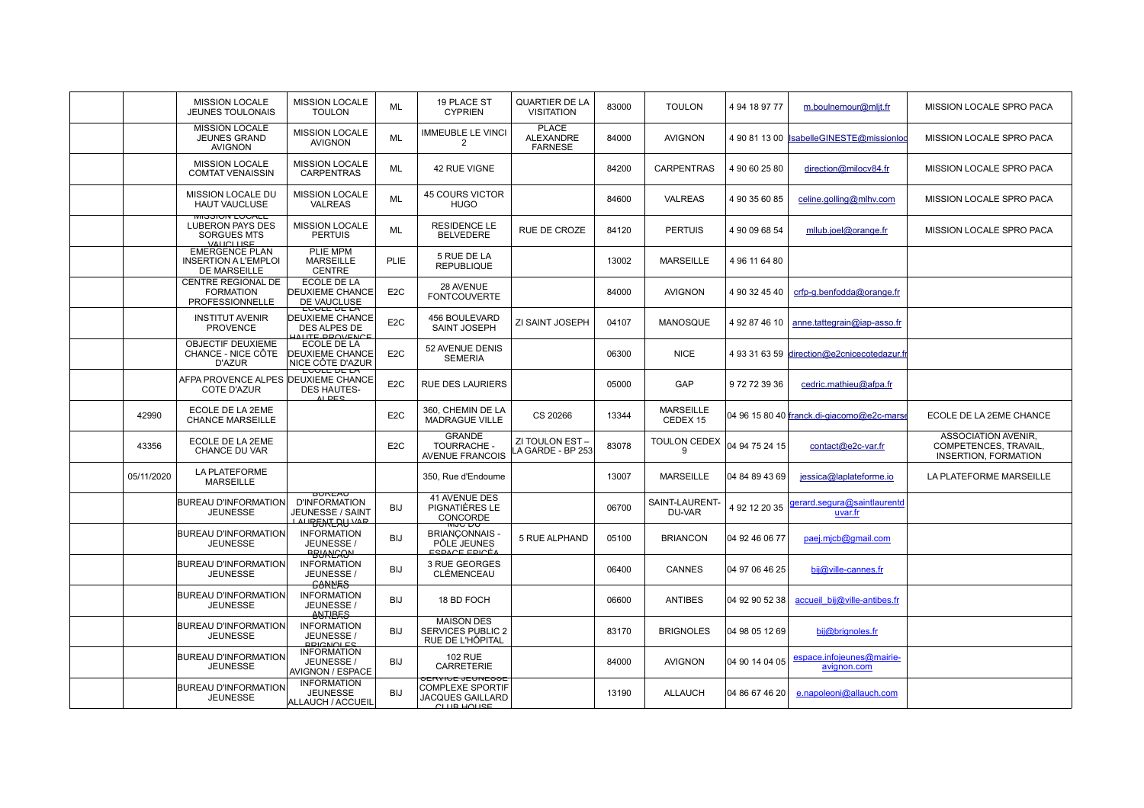|            | <b>MISSION LOCALE</b><br><b>JEUNES TOULONAIS</b>                                  | <b>MISSION LOCALE</b><br><b>TOULON</b>                                                 | ML               | 19 PLACE ST<br><b>CYPRIEN</b>                                                                | <b>QUARTIER DE LA</b><br><b>VISITATION</b>         | 83000 | <b>TOULON</b>                | 4 94 18 97 77  | m.boulnemour@mljt.fr                        | MISSION LOCALE SPRO PACA                                                    |
|------------|-----------------------------------------------------------------------------------|----------------------------------------------------------------------------------------|------------------|----------------------------------------------------------------------------------------------|----------------------------------------------------|-------|------------------------------|----------------|---------------------------------------------|-----------------------------------------------------------------------------|
|            | <b>MISSION LOCALE</b><br><b>JEUNES GRAND</b><br><b>AVIGNON</b>                    | <b>MISSION LOCALE</b><br><b>AVIGNON</b>                                                | <b>ML</b>        | <b>IMMEUBLE LE VINCI</b><br>$\mathfrak{p}$                                                   | <b>PLACE</b><br><b>ALEXANDRE</b><br><b>FARNESE</b> | 84000 | <b>AVIGNON</b>               |                | 4 90 81 13 00 IsabelleGINESTE@missionlog    | MISSION LOCALE SPRO PACA                                                    |
|            | <b>MISSION LOCALE</b><br><b>COMTAT VENAISSIN</b>                                  | <b>MISSION LOCALE</b><br><b>CARPENTRAS</b>                                             | <b>ML</b>        | 42 RUE VIGNE                                                                                 |                                                    | 84200 | <b>CARPENTRAS</b>            | 4 90 60 25 80  | direction@milocv84.fr                       | MISSION LOCALE SPRO PACA                                                    |
|            | <b>MISSION LOCALE DU</b><br>HAUT VAUCLUSE                                         | <b>MISSION LOCALE</b><br><b>VALREAS</b>                                                | ML               | <b>45 COURS VICTOR</b><br><b>HUGO</b>                                                        |                                                    | 84600 | VALREAS                      | 4 90 35 60 85  | celine.golling@mlhv.com                     | MISSION LOCALE SPRO PACA                                                    |
|            | IVII JOI VIN LUUALE<br><b>LUBERON PAYS DES</b><br><b>SORGUES MTS</b><br>VALICLUSE | <b>MISSION LOCALE</b><br><b>PERTUIS</b>                                                | ML               | <b>RESIDENCE LE</b><br><b>BELVEDERE</b>                                                      | RUE DE CROZE                                       | 84120 | <b>PERTUIS</b>               | 4 90 09 68 54  | mllub.joel@orange.fr                        | MISSION LOCALE SPRO PACA                                                    |
|            | <b>EMERGENCE PLAN</b><br><b>INSERTION A L'EMPLOI</b><br>DE MARSEILLE              | PLIE MPM<br><b>MARSEILLE</b><br><b>CENTRE</b>                                          | <b>PLIE</b>      | 5 RUE DE LA<br><b>REPUBLIQUE</b>                                                             |                                                    | 13002 | <b>MARSEILLE</b>             | 4 96 11 64 80  |                                             |                                                                             |
|            | CENTRE REGIONAL DE<br><b>FORMATION</b><br><b>PROFESSIONNELLE</b>                  | ECOLE DE LA<br><b>DEUXIEME CHANCE</b><br>DE VAUCLUSE                                   | E <sub>2</sub> C | 28 AVENUE<br><b>FONTCOUVERTE</b>                                                             |                                                    | 84000 | <b>AVIGNON</b>               | 4 90 32 45 40  | crfp-g.benfodda@orange.fr                   |                                                                             |
|            | <b>INSTITUT AVENIR</b><br><b>PROVENCE</b>                                         | <b>EUVLE DE LA</b><br><b>DEUXIEME CHANCE</b><br>DES ALPES DE<br><b>JALITE_DROVENCE</b> | E <sub>2</sub> C | 456 BOULEVARD<br><b>SAINT JOSEPH</b>                                                         | ZI SAINT JOSEPH                                    | 04107 | MANOSQUE                     | 4 92 87 46 10  | anne.tattegrain@iap-asso.fr                 |                                                                             |
|            | OBJECTIF DEUXIEME<br>CHANCE - NICE CÔTE<br>D'AZUR                                 | ECOLE DE LA<br><b>DEUXIEME CHANCE</b><br>NICE CÔTE D'AZUR                              | E <sub>2</sub> C | 52 AVENUE DENIS<br><b>SEMERIA</b>                                                            |                                                    | 06300 | <b>NICE</b>                  |                | 4 93 31 63 59 direction@e2cnicecotedazur.fr |                                                                             |
|            | AFPA PROVENCE ALPES DEUXIEME CHANCE<br>COTE D'AZUR                                | EUVLE DE LA<br><b>DES HAUTES-</b><br>AL DES                                            | E <sub>2</sub> C | <b>RUE DES LAURIERS</b>                                                                      |                                                    | 05000 | GAP                          | 972723936      | cedric.mathieu@afpa.fr                      |                                                                             |
| 42990      | ECOLE DE LA 2EME<br><b>CHANCE MARSEILLE</b>                                       |                                                                                        | E <sub>2</sub> C | 360, CHEMIN DE LA<br><b>MADRAGUE VILLE</b>                                                   | CS 20266                                           | 13344 | <b>MARSEILLE</b><br>CEDEX 15 |                | 04 96 15 80 40 franck.di-giacomo@e2c-mars   | ECOLE DE LA 2EME CHANCE                                                     |
| 43356      | ECOLE DE LA 2EME<br>CHANCE DU VAR                                                 |                                                                                        | E <sub>2</sub> C | <b>GRANDE</b><br>TOURRACHE -<br><b>AVENUE FRANCOIS</b>                                       | ZI TOULON EST<br>A GARDE - BP 253                  | 83078 | <b>TOULON CEDEX</b><br>g     | 04 94 75 24 15 | contact@e2c-var.fr                          | ASSOCIATION AVENIR,<br>COMPETENCES, TRAVAIL,<br><b>INSERTION, FORMATION</b> |
| 05/11/2020 | <b>LA PLATEFORME</b><br><b>MARSEILLE</b>                                          |                                                                                        |                  | 350. Rue d'Endoume                                                                           |                                                    | 13007 | <b>MARSEILLE</b>             | 04 84 89 43 69 | jessica@laplateforme.io                     | LA PLATEFORME MARSEILLE                                                     |
|            | <b>BUREAU D'INFORMATION</b><br><b>JEUNESSE</b>                                    | <b>DUREAU</b><br><b>D'INFORMATION</b><br>JEUNESSE / SAINT<br><b>LAURENTERUWP</b>       | <b>BIJ</b>       | <b>41 AVENUE DES</b><br>PIGNATIÈRES LE<br>CONCORDE                                           |                                                    | 06700 | SAINT-LAURENT-<br>DU-VAR     | 4 92 12 20 35  | gerard.segura@saintlaurentd<br>uvar.fr      |                                                                             |
|            | <b>BUREAU D'INFORMATION</b><br><b>JEUNESSE</b>                                    | <b>INFORMATION</b><br>JEUNESSE /<br><b>BRIANCAON</b>                                   | <b>BIJ</b>       | ਯਹ⊂ ∟∪<br><b>BRIANCONNAIS</b><br>PÔLE JEUNES<br>ESPACE EPICÉ/                                | 5 RUE ALPHAND                                      | 05100 | <b>BRIANCON</b>              | 04 92 46 06 77 | paej.micb@gmail.com                         |                                                                             |
|            | <b>BUREAU D'INFORMATION</b><br><b>JEUNESSE</b>                                    | <b>INFORMATION</b><br>JEUNESSE /<br><b>GANNES</b>                                      | <b>BIJ</b>       | 3 RUE GEORGES<br>CLÉMENCEAU                                                                  |                                                    | 06400 | <b>CANNES</b>                | 04 97 06 46 25 | bij@ville-cannes.fr                         |                                                                             |
|            | <b>BUREAU D'INFORMATION</b><br><b>JEUNESSE</b>                                    | <b>INFORMATION</b><br>JEUNESSE /<br><b>ANTIERS</b>                                     | <b>BIJ</b>       | 18 BD FOCH                                                                                   |                                                    | 06600 | <b>ANTIBES</b>               | 04 92 90 52 38 | accueil bij@ville-antibes.fr                |                                                                             |
|            | <b>BUREAU D'INFORMATION</b><br><b>JEUNESSE</b>                                    | <b>INFORMATION</b><br>JEUNESSE /<br><b>RRICNOLES</b>                                   | <b>BIJ</b>       | <b>MAISON DES</b><br><b>SERVICES PUBLIC 2</b><br>RUE DE L'HÔPITAL                            |                                                    | 83170 | <b>BRIGNOLES</b>             | 04 98 05 12 69 | bij@brignoles.fr                            |                                                                             |
|            | <b>BUREAU D'INFORMATION</b><br><b>JEUNESSE</b>                                    | <b>INFORMATION</b><br>JEUNESSE /<br>AVIGNON / ESPACE                                   | <b>BIJ</b>       | <b>102 RUE</b><br><b>CARRETERIE</b>                                                          |                                                    | 84000 | <b>AVIGNON</b>               | 04 90 14 04 05 | espace.infojeunes@mairie-<br>avignon.com    |                                                                             |
|            | <b>BUREAU D'INFORMATION</b><br><b>JEUNESSE</b>                                    | <b>INFORMATION</b><br><b>JEUNESSE</b><br>ALLAUCH / ACCUEIL                             | <b>BIJ</b>       | <b>DERVIGE JEUIVEDDE</b><br><b>COMPLEXE SPORTIF</b><br><b>JACQUES GAILLARD</b><br>CLUB HOUSE |                                                    | 13190 | <b>ALLAUCH</b>               | 04 86 67 46 20 | e.napoleoni@allauch.com                     |                                                                             |
|            |                                                                                   |                                                                                        |                  |                                                                                              |                                                    |       |                              |                |                                             |                                                                             |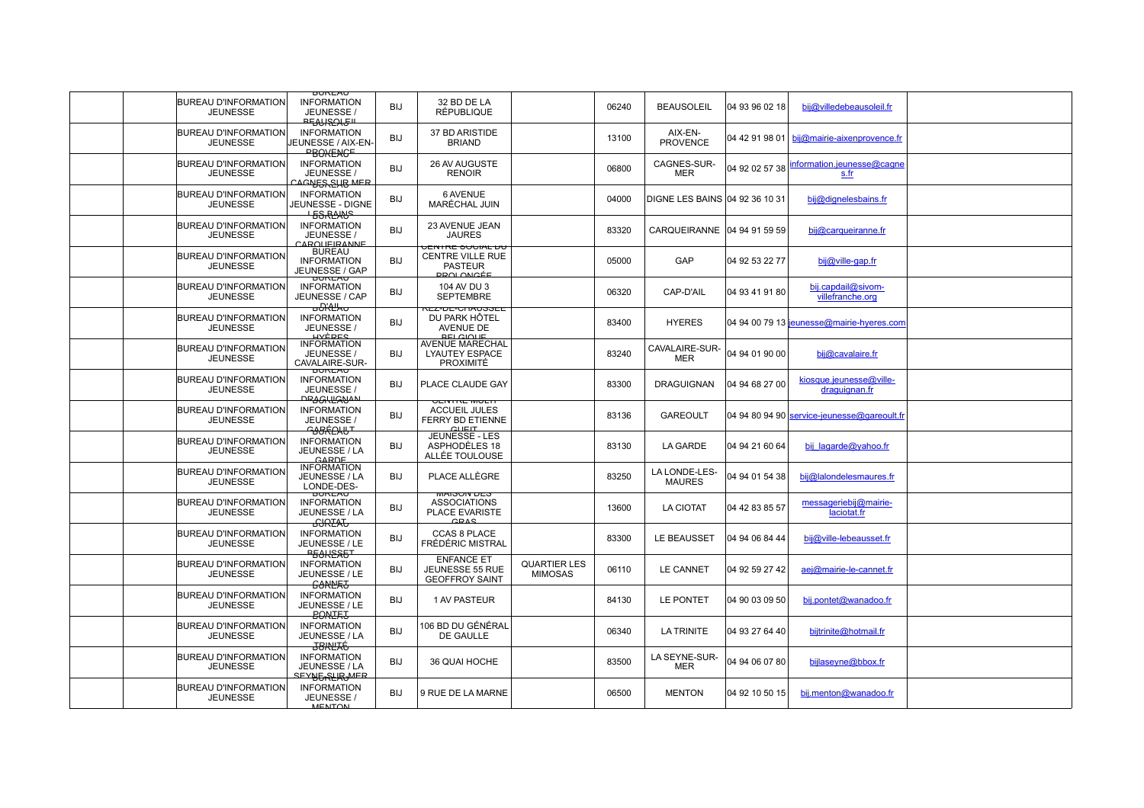|                                                | <b>DUREAU</b>                                                                     |            |                                                                                          |                                       |       |                                |                |                                             |  |
|------------------------------------------------|-----------------------------------------------------------------------------------|------------|------------------------------------------------------------------------------------------|---------------------------------------|-------|--------------------------------|----------------|---------------------------------------------|--|
| <b>BUREAU D'INFORMATION</b><br><b>JEUNESSE</b> | <b>INFORMATION</b><br>JEUNESSE /<br>ᠲᡖᡐᡰᠻᢒᢓᡰ᠙                                     | <b>BIJ</b> | 32 BD DE LA<br><b>RÉPUBLIQUE</b>                                                         |                                       | 06240 | <b>BEAUSOLEIL</b>              | 04 93 96 02 18 | bij@villedebeausoleil.fr                    |  |
| <b>BUREAU D'INFORMATION</b><br><b>JEUNESSE</b> | <b>INFORMATION</b><br>JEUNESSE / AIX-EN-<br><b>PBOKENGE</b>                       | <b>BIJ</b> | 37 BD ARISTIDE<br><b>BRIAND</b>                                                          |                                       | 13100 | AIX-EN-<br><b>PROVENCE</b>     |                | 04 42 91 98 01 bij@mairie-aixenprovence.fr  |  |
| <b>BUREAU D'INFORMATION</b><br><b>JEUNESSE</b> | <b>INFORMATION</b><br>JEUNESSE /<br><b>CAGNES SUB MER</b>                         | <b>BIJ</b> | 26 AV AUGUSTE<br><b>RENOIR</b>                                                           |                                       | 06800 | CAGNES-SUR-<br><b>MER</b>      | 04 92 02 57 38 | information.jeunesse@cagne<br>s.fr          |  |
| BUREAU D'INFORMATION<br><b>JEUNESSE</b>        | <b>INFORMATION</b><br>JEUNESSE - DIGNE<br><b>ESRANS</b>                           | BIJ        | 6 AVENUE<br>MARÉCHAL JUIN                                                                |                                       | 04000 | DIGNE LES BAINS 04 92 36 10 31 |                | bij@dignelesbains.fr                        |  |
| <b>BUREAU D'INFORMATION</b><br><b>JEUNESSE</b> | <b>INFORMATION</b><br>JEUNESSE /<br>CAROLIEIRANNE                                 | <b>BIJ</b> | 23 AVENUE JEAN<br><b>JAURES</b>                                                          |                                       | 83320 | CARQUEIRANNE 04 94 91 59 59    |                | bij@carqueiranne.fr                         |  |
| <b>BUREAU D'INFORMATION</b><br><b>JEUNESSE</b> | <b>BUREAU</b><br><b>INFORMATION</b><br>JEUNESSE / GAP                             | <b>BIJ</b> | <u>UENTRE SUUIAL DU</u><br><b>CENTRE VILLE RUE</b><br><b>PASTEUR</b><br><b>PROLONGÉE</b> |                                       | 05000 | GAP                            | 04 92 53 22 77 | bij@ville-gap.fr                            |  |
| <b>BUREAU D'INFORMATION</b><br><b>JEUNESSE</b> | <b>INFORMATION</b><br>JEUNESSE / CAP<br>ᡖᢒᡰᡲᡶᡰᡪᠣ                                  | BIJ        | 104 AV DU 3<br><b>SEPTEMBRE</b><br>REZ-DE-UNAUSSEE                                       |                                       | 06320 | CAP-D'AIL                      | 04 93 41 91 80 | bij.capdail@sivom-<br>villefranche.org      |  |
| <b>BUREAU D'INFORMATION</b><br><b>JEUNESSE</b> | <b>INFORMATION</b><br>JEUNESSE /<br><b>HAEBES</b>                                 | <b>BIJ</b> | DU PARK HÖTEL<br>AVENUE DE<br><b>RELGIOUE</b>                                            |                                       | 83400 | <b>HYERES</b>                  |                | 04 94 00 79 13 jeunesse@mairie-hyeres.com   |  |
| BUREAU D'INFORMATION<br><b>JEUNESSE</b>        | <b>INFORMATION</b><br>JEUNESSE /<br>CAVALAIRE-SUR-                                | <b>BIJ</b> | AVENUE MARECHAL<br><b>LYAUTEY ESPACE</b><br><b>PROXIMITÉ</b>                             |                                       | 83240 | CAVALAIRE-SUR-<br><b>MER</b>   | 04 94 01 90 00 | bij@cavalaire.fr                            |  |
| <b>BUREAU D'INFORMATION</b><br><b>JEUNESSE</b> | <b>BUREAU</b><br><b>INFORMATION</b><br>JEUNESSE /<br><b>DRAGKLANAN</b>            | BIJ        | PLACE CLAUDE GAY                                                                         |                                       | 83300 | <b>DRAGUIGNAN</b>              | 04 94 68 27 00 | kiosque.jeunesse@ville-<br>draguignan.fr    |  |
| <b>BUREAU D'INFORMATION</b><br><b>JEUNESSE</b> | <b>INFORMATION</b><br>JEUNESSE /<br><del>Ġ₿ŖŔſŊIJ</del> Ŧ                         | BIJ        | <b>VEIVIRE MULTI</b><br><b>ACCUEIL JULES</b><br>FERRY BD ETIENNE<br><b>GUELT</b>         |                                       | 83136 | <b>GAREOULT</b>                |                | 04 94 80 94 90 service-jeunesse@gareoult.fr |  |
| <b>BUREAU D'INFORMATION</b><br><b>JEUNESSE</b> | <b>INFORMATION</b><br>JEUNESSE / LA<br>CAPDE                                      | <b>BIJ</b> | JEUNESSE - LES<br>ASPHODÈLES 18<br>ALLÉE TOULOUSE                                        |                                       | 83130 | LA GARDE                       | 04 94 21 60 64 | bij lagarde@yahoo.fr                        |  |
| <b>BUREAU D'INFORMATION</b><br><b>JEUNESSE</b> | <b>INFORMATION</b><br>JEUNESSE / LA<br>LONDE-DES-                                 | <b>BIJ</b> | PLACE ALLÈGRE                                                                            |                                       | 83250 | LA LONDE-LES-<br><b>MAURES</b> | 04 94 01 54 38 | bij@lalondelesmaures.fr                     |  |
| <b>BUREAU D'INFORMATION</b><br><b>JEUNESSE</b> | <b>DUREAU</b><br><b>INFORMATION</b><br>JEUNESSE / LA<br><b>GUREAU</b>             | <b>BIJ</b> | <b>MAIOUN DEO</b><br><b>ASSOCIATIONS</b><br><b>PLACE EVARISTE</b><br>CDAC                |                                       | 13600 | <b>LA CIOTAT</b>               | 04 42 83 85 57 | messageriebij@mairie-<br>laciotat.fr        |  |
| <b>BUREAU D'INFORMATION</b><br><b>JEUNESSE</b> | <b>INFORMATION</b><br>JEUNESSE / LE<br><b>BEAKSSET</b>                            | BIJ        | CCAS 8 PLACE<br>FRÉDÉRIC MISTRAL                                                         |                                       | 83300 | LE BEAUSSET                    | 04 94 06 84 44 | bij@ville-lebeausset.fr                     |  |
| <b>BUREAU D'INFORMATION</b><br><b>JEUNESSE</b> | <b>INFORMATION</b><br>JEUNESSE / LE<br><b>GONNE</b> J                             | BIJ        | <b>ENFANCE ET</b><br>JEUNESSE 55 RUE<br><b>GEOFFROY SAINT</b>                            | <b>QUARTIER LES</b><br><b>MIMOSAS</b> | 06110 | <b>LE CANNET</b>               | 04 92 59 27 42 | aej@mairie-le-cannet.fr                     |  |
| <b>BUREAU D'INFORMATION</b><br><b>JEUNESSE</b> | <b>INFORMATION</b><br>JEUNESSE / LE<br><b>BONERT</b>                              | <b>BIJ</b> | <b>1 AV PASTEUR</b>                                                                      |                                       | 84130 | LE PONTET                      | 04 90 03 09 50 | bij.pontet@wanadoo.fr                       |  |
| <b>BUREAU D'INFORMATION</b><br><b>JEUNESSE</b> | <b>INFORMATION</b><br>JEUNESSE / LA<br><del>J8KUAĆ</del>                          | <b>BIJ</b> | 106 BD DU GÉNÉRAL<br>DE GAULLE                                                           |                                       | 06340 | <b>LA TRINITE</b>              | 04 93 27 64 40 | bijtrinite@hotmail.fr                       |  |
| <b>BUREAU D'INFORMATION</b><br><b>JEUNESSE</b> | <b>INFORMATION</b><br>JEUNESSE / LA<br><u><sup></sup>⋖⋿⋎₿Ҕ<sub>त</sub>҈ӉŖ</u> ѦӔҎ | <b>BIJ</b> | 36 QUAI HOCHE                                                                            |                                       | 83500 | LA SEYNE-SUR-<br>MER           | 04 94 06 07 80 | bijlaseyne@bbox.fr                          |  |
| <b>BUREAU D'INFORMATION</b><br><b>JEUNESSE</b> | <b>INFORMATION</b><br>JEUNESSE /<br><b>MENTON</b>                                 | <b>BIJ</b> | 9 RUE DE LA MARNE                                                                        |                                       | 06500 | <b>MENTON</b>                  | 04 92 10 50 15 | bij.menton@wanadoo.fr                       |  |
|                                                |                                                                                   |            |                                                                                          |                                       |       |                                |                |                                             |  |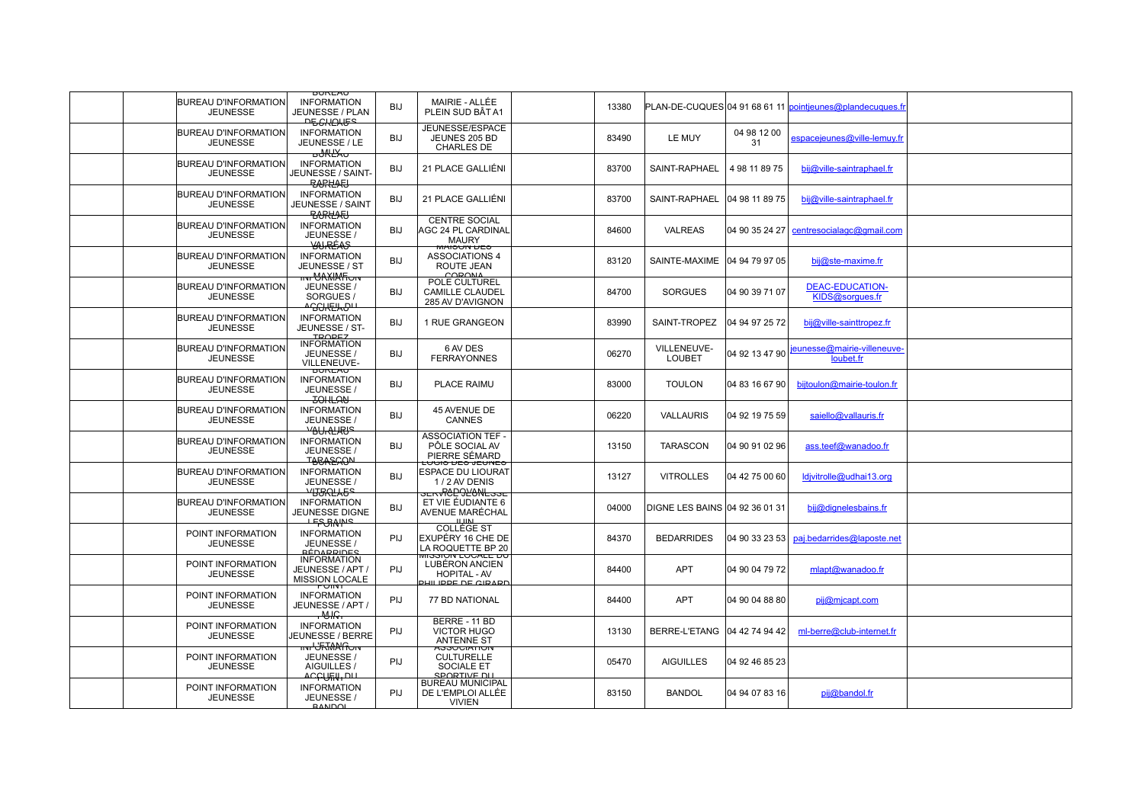|                                                | <b>BUKEAU</b>                                                                      |            |                                                                                         |       |                                |                                |                                                           |  |
|------------------------------------------------|------------------------------------------------------------------------------------|------------|-----------------------------------------------------------------------------------------|-------|--------------------------------|--------------------------------|-----------------------------------------------------------|--|
| <b>BUREAU D'INFORMATION</b><br><b>JEUNESSE</b> | <b>INFORMATION</b><br>JEUNESSE / PLAN<br>ᠲᡖᡋᡰᡰᢓᡰᡌᡏ᠌                                | BIJ        | MAIRIE - ALLÉE<br>PLEIN SUD BÂT A1                                                      | 13380 |                                |                                | PLAN-DE-CUQUES 04 91 68 61 11 pointieunes@plandecuques.fr |  |
| <b>BUREAU D'INFORMATION</b><br><b>JEUNESSE</b> | <b>INFORMATION</b><br>JEUNESSE / LE<br>᠊ᠣ᠋᠋ᢤᠰᡌᢋᠣ                                   | <b>BIJ</b> | JEUNESSE/ESPACE<br>JEUNES 205 BD<br><b>CHARLES DE</b>                                   | 83490 | LE MUY                         | 04 98 12 00<br>31              | espacejeunes@ville-lemuy.fr                               |  |
| <b>BUREAU D'INFORMATION</b><br><b>JEUNESSE</b> | <b>INFORMATION</b><br>JEUNESSE / SAINT-<br><b>BARKLARI</b>                         | BIJ        | 21 PLACE GALLIÉNI                                                                       | 83700 | SAINT-RAPHAEL                  | 4 98 11 89 75                  | bij@ville-saintraphael.fr                                 |  |
| <b>BUREAU D'INFORMATION</b><br><b>JEUNESSE</b> | <b>INFORMATION</b><br><b>JEUNESSE / SAINT</b><br><b>BARKAEL</b>                    | BIJ        | 21 PLACE GALLIÉNI                                                                       | 83700 |                                | SAINT-RAPHAEL   04 98 11 89 75 | bij@ville-saintraphael.fr                                 |  |
| <b>BUREAU D'INFORMATION</b><br><b>JEUNESSE</b> | <b>INFORMATION</b><br>JEUNESSE /<br><del>YAJRÉAS</del>                             | <b>BIJ</b> | <b>CENTRE SOCIAL</b><br>AGC 24 PL CARDINAL<br><b>MAURY</b>                              | 84600 | <b>VALREAS</b>                 |                                | 04 90 35 24 27 centresocialagc@gmail.com                  |  |
| <b>BUREAU D'INFORMATION</b><br><b>JEUNESSE</b> | <b>INFORMATION</b><br>JEUNESSE / ST<br><del>iivr</del> "CAXIIA Fi⊖iv               | BIJ        | <b>MAIOUN DES</b><br><b>ASSOCIATIONS 4</b><br>ROUTE JEAN<br>CORONA                      | 83120 |                                | SAINTE-MAXIME   04 94 79 97 05 | bij@ste-maxime.fr                                         |  |
| <b>BUREAU D'INFORMATION</b><br><b>JEUNESSE</b> | JEUNESSE /<br>SORGUES<br><del>᠃ᢙᢕᡰᢄ</del> ᡰᡘᠪᡃ                                     | <b>BIJ</b> | POLE CULTUREL<br><b>CAMILLE CLAUDEL</b><br>285 AV D'AVIGNON                             | 84700 | <b>SORGUES</b>                 | 04 90 39 71 07                 | <b>DEAC-EDUCATION-</b><br>KIDS@sorgues.fr                 |  |
| <b>BUREAU D'INFORMATION</b><br><b>JEUNESSE</b> | <b>INFORMATION</b><br>JEUNESSE / ST-<br><b>TROPEZ</b>                              | <b>BIJ</b> | 1 RUE GRANGEON                                                                          | 83990 | SAINT-TROPEZ                   | 04 94 97 25 72                 | bij@ville-sainttropez.fr                                  |  |
| BUREAU D'INFORMATION<br><b>JEUNESSE</b>        | <b>INFORMATION</b><br>JEUNESSE /<br>VILLENEUVE-                                    | <b>BIJ</b> | 6 AV DES<br><b>FERRAYONNES</b>                                                          | 06270 | VILLENEUVE-<br>LOUBET          | 04 92 13 47 90                 | jeunesse@mairie-villeneuve-<br>loubet.fr                  |  |
| <b>BUREAU D'INFORMATION</b><br><b>JEUNESSE</b> | <b>DUREAU</b><br><b>INFORMATION</b><br>JEUNESSE /<br><b>BOHLAN</b>                 | <b>BIJ</b> | PLACE RAIMU                                                                             | 83000 | <b>TOULON</b>                  | 04 83 16 67 90                 | bijtoulon@mairie-toulon.fr                                |  |
| <b>BUREAU D'INFORMATION</b><br><b>JEUNESSE</b> | <b>INFORMATION</b><br>JEUNESSE /<br><b>YAU ALIRIS</b>                              | BIJ        | 45 AVENUE DE<br>CANNES                                                                  | 06220 | <b>VALLAURIS</b>               | 04 92 19 75 59                 | saiello@vallauris.fr                                      |  |
| <b>BUREAU D'INFORMATION</b><br><b>JEUNESSE</b> | <b>INFORMATION</b><br>JEUNESSE /<br><b>TABASAON</b>                                | <b>BIJ</b> | ASSOCIATION TEF -<br>PÔLE SOCIAL AV<br>PIERRE SÉMARD                                    | 13150 | <b>TARASCON</b>                | 04 90 91 02 96                 | ass.teef@wanadoo.fr                                       |  |
| <b>BUREAU D'INFORMATION</b><br><b>JEUNESSE</b> | <b>INFORMATION</b><br>JEUNESSE /<br>Y <del>IJBRLAGS</del>                          | <b>BIJ</b> | <del>בטיסוס טב</del> ס ס <del>בטוע</del><br>ESPACE DU LIOURAT<br>1/2 AV DENIS           | 13127 | <b>VITROLLES</b>               | 04 42 75 00 60                 | ldivitrolle@udhai13.org                                   |  |
| <b>BUREAU D'INFORMATION</b><br><b>JEUNESSE</b> | <b>INFORMATION</b><br><b>JEUNESSE DIGNE</b><br><b>LES BAINS</b>                    | <b>BIJ</b> | <del>○□rvRCD9⊻ONL○○□</del><br>ET VIE ÉUDIANTE 6<br>AVENUE MARÉCHAL<br>1111M             | 04000 | DIGNE LES BAINS 04 92 36 01 31 |                                | bij@dignelesbains.fr                                      |  |
| POINT INFORMATION<br><b>JEUNESSE</b>           | <b>INFORMATION</b><br>JEUNESSE /<br><u>RÉDARRIDES</u>                              | PIJ        | <b>COLLÈGE ST</b><br>EXUPÉRY 16 CHE DE<br>LA ROQUETTE BP 20                             | 84370 | <b>BEDARRIDES</b>              | 04 90 33 23 53                 | paj.bedarrides@laposte.net                                |  |
| POINT INFORMATION<br><b>JEUNESSE</b>           | <b>INFORMATION</b><br>JEUNESSE / APT /<br><b>MISSION LOCALE</b>                    | PIJ        | WIGGIUN LUCALE DU<br>LUBÉRON ANCIEN<br><b>HOPITAL - AV</b><br><b>PHILIPPE DE GIRARD</b> | 84400 | <b>APT</b>                     | 04 90 04 79 72                 | mlapt@wanadoo.fr                                          |  |
| POINT INFORMATION<br><b>JEUNESSE</b>           | ד\ווט<br><b>INFORMATION</b><br>JEUNESSE / APT /<br>᠇ᡃᡐᡰᡃ᠌ᠷ᠇                        | PIJ        | <b>77 BD NATIONAL</b>                                                                   | 84400 | <b>APT</b>                     | 04 90 04 88 80                 | pij@mjcapt.com                                            |  |
| POINT INFORMATION<br><b>JEUNESSE</b>           | <b>INFORMATION</b><br>JEUNESSE / BERRE                                             | PIJ        | BERRE - 11 BD<br><b>VICTOR HUGO</b><br><b>ANTENNE ST</b>                                | 13130 |                                | BERRE-L'ETANG   04 42 74 94 42 | ml-berre@club-internet.fr                                 |  |
| POINT INFORMATION<br><b>JEUNESSE</b>           | <del>៲៲៴៲<sup>៲</sup>ປົRໂທີAlfioiv</del><br>JEUNESSE /<br>AIGUILLES /<br>ᢦᡄᡄᡗᡥᡌᡰ᠊ᠳ | PIJ        | <b>ASSUCIATION</b><br><b>CULTURELLE</b><br><b>SOCIALE ET</b><br>SPORTIVE DU             | 05470 | <b>AIGUILLES</b>               | 04 92 46 85 23                 |                                                           |  |
| POINT INFORMATION<br><b>JEUNESSE</b>           | <b>INFORMATION</b><br>JEUNESSE /<br><b>RANDOL</b>                                  | PIJ        | <b>BUREAU MUNICIPAL</b><br>DE L'EMPLOI ALLÉE<br><b>VIVIEN</b>                           | 83150 | <b>BANDOL</b>                  | 04 94 07 83 16                 | pij@bandol.fr                                             |  |
|                                                |                                                                                    |            |                                                                                         |       |                                |                                |                                                           |  |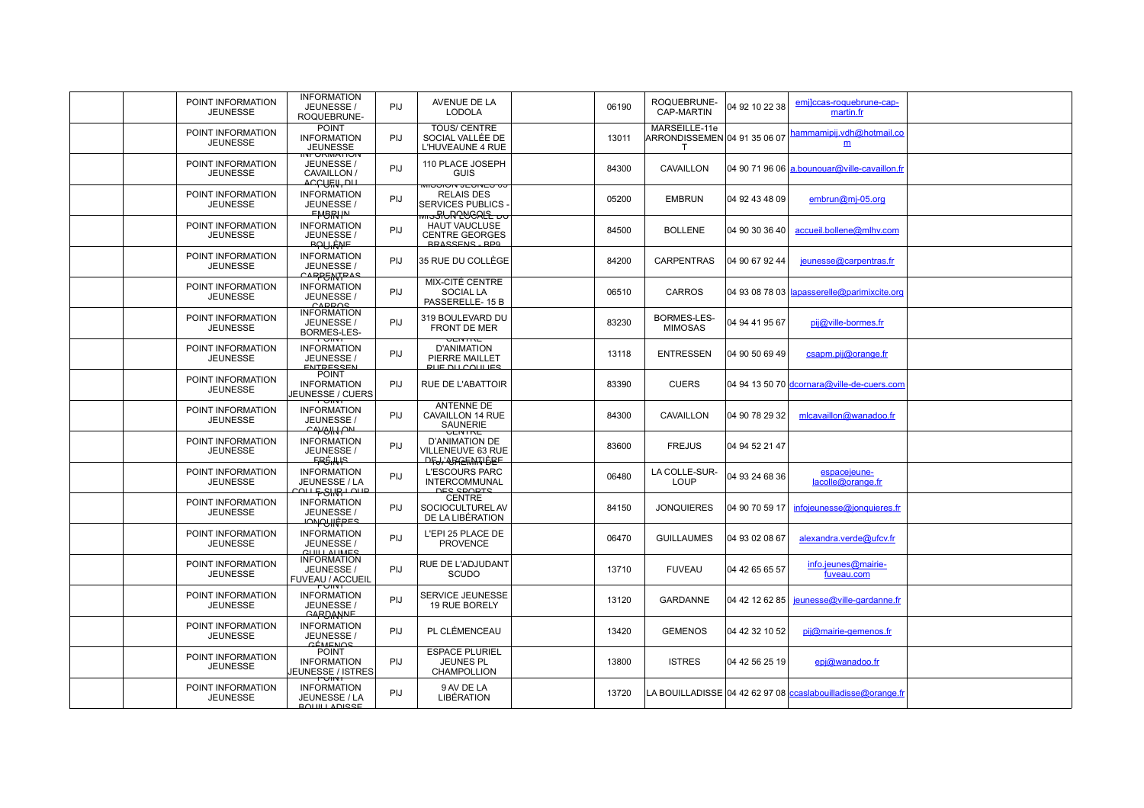| POINT INFORMATION<br><b>JEUNESSE</b> | JEUNESSE /<br>ROQUEBRUNE-                                          | PIJ                                                                                                                                                                                                                                                                                                   | AVENUE DE LA<br><b>LODOLA</b>                                      | 06190                                                                                                                                                                   | ROQUEBRUNE-<br><b>CAP-MARTIN</b>     | 04 92 10 22 38 | emjlccas-roquebrune-cap-<br>martin.fr |                                                                                                                                                                                                                                                                                                                                                                                                           |
|--------------------------------------|--------------------------------------------------------------------|-------------------------------------------------------------------------------------------------------------------------------------------------------------------------------------------------------------------------------------------------------------------------------------------------------|--------------------------------------------------------------------|-------------------------------------------------------------------------------------------------------------------------------------------------------------------------|--------------------------------------|----------------|---------------------------------------|-----------------------------------------------------------------------------------------------------------------------------------------------------------------------------------------------------------------------------------------------------------------------------------------------------------------------------------------------------------------------------------------------------------|
| POINT INFORMATION<br><b>JEUNESSE</b> | <b>POINT</b><br><b>INFORMATION</b><br><b>JEUNESSE</b>              | PIJ                                                                                                                                                                                                                                                                                                   | <b>TOUS/ CENTRE</b><br>SOCIAL VALLÉE DE<br><b>L'HUVEAUNE 4 RUE</b> | 13011                                                                                                                                                                   | MARSEILLE-11e<br>$\mathsf{T}$        |                | hammamipij.vdh@hotmail.co<br>m        |                                                                                                                                                                                                                                                                                                                                                                                                           |
| POINT INFORMATION<br><b>JEUNESSE</b> | JEUNESSE /<br>CAVAILLON /                                          | PIJ                                                                                                                                                                                                                                                                                                   | 110 PLACE JOSEPH<br><b>GUIS</b>                                    | 84300                                                                                                                                                                   | CAVAILLON                            |                |                                       |                                                                                                                                                                                                                                                                                                                                                                                                           |
| POINT INFORMATION<br><b>JEUNESSE</b> | <b>INFORMATION</b><br>JEUNESSE /                                   | PIJ                                                                                                                                                                                                                                                                                                   | <b>RELAIS DES</b><br><b>SERVICES PUBLICS</b>                       | 05200                                                                                                                                                                   | <b>EMBRUN</b>                        |                | embrun@mj-05.org                      |                                                                                                                                                                                                                                                                                                                                                                                                           |
| POINT INFORMATION<br><b>JEUNESSE</b> | <b>INFORMATION</b><br>JEUNESSE /                                   | PIJ                                                                                                                                                                                                                                                                                                   | <b>HAUT VAUCLUSE</b><br><b>CENTRE GEORGES</b>                      | 84500                                                                                                                                                                   | <b>BOLLENE</b>                       |                | accueil.bollene@mlhv.com              |                                                                                                                                                                                                                                                                                                                                                                                                           |
| POINT INFORMATION<br><b>JEUNESSE</b> | <b>INFORMATION</b><br>JEUNESSE /                                   | PIJ                                                                                                                                                                                                                                                                                                   | 35 RUE DU COLLÈGE                                                  | 84200                                                                                                                                                                   | CARPENTRAS                           |                | jeunesse@carpentras.fr                |                                                                                                                                                                                                                                                                                                                                                                                                           |
| POINT INFORMATION<br><b>JEUNESSE</b> | <b>INFORMATION</b><br>JEUNESSE /                                   | PIJ                                                                                                                                                                                                                                                                                                   | MIX-CITÉ CENTRE<br><b>SOCIAL LA</b><br>PASSERELLE-15B              | 06510                                                                                                                                                                   | <b>CARROS</b>                        |                |                                       |                                                                                                                                                                                                                                                                                                                                                                                                           |
| POINT INFORMATION<br><b>JEUNESSE</b> | <b>INFORMATION</b><br>JEUNESSE /<br>BORMES-LES-                    | PIJ                                                                                                                                                                                                                                                                                                   | 319 BOULEVARD DU<br><b>FRONT DE MER</b>                            | 83230                                                                                                                                                                   | <b>BORMES-LES-</b><br><b>MIMOSAS</b> | 04 94 41 95 67 | pij@ville-bormes.fr                   |                                                                                                                                                                                                                                                                                                                                                                                                           |
| POINT INFORMATION<br><b>JEUNESSE</b> | PUINT<br><b>INFORMATION</b><br>JEUNESSE /                          | PIJ                                                                                                                                                                                                                                                                                                   | <b>D'ANIMATION</b><br>PIERRE MAILLET                               | 13118                                                                                                                                                                   | <b>ENTRESSEN</b>                     | 04 90 50 69 49 | csapm.pij@orange.fr                   |                                                                                                                                                                                                                                                                                                                                                                                                           |
| POINT INFORMATION<br><b>JEUNESSE</b> | <b>POINT</b><br><b>INFORMATION</b><br><b>JEUNESSE / CUERS</b>      | PIJ                                                                                                                                                                                                                                                                                                   | <b>RUE DE L'ABATTOIR</b>                                           | 83390                                                                                                                                                                   | <b>CUERS</b>                         |                |                                       |                                                                                                                                                                                                                                                                                                                                                                                                           |
| POINT INFORMATION<br><b>JEUNESSE</b> | PUINT<br><b>INFORMATION</b><br>JEUNESSE /                          | <b>PIJ</b>                                                                                                                                                                                                                                                                                            | ANTENNE DE<br>CAVAILLON 14 RUE<br><b>SAUNERIE</b>                  | 84300                                                                                                                                                                   | CAVAILLON                            |                | mlcavaillon@wanadoo.fr                |                                                                                                                                                                                                                                                                                                                                                                                                           |
| POINT INFORMATION<br><b>JEUNESSE</b> | <b>INFORMATION</b><br>JEUNESSE /                                   | <b>PIJ</b>                                                                                                                                                                                                                                                                                            | <b>D'ANIMATION DE</b><br>VILLENEUVE 63 RUE                         | 83600                                                                                                                                                                   | <b>FREJUS</b>                        | 04 94 52 21 47 |                                       |                                                                                                                                                                                                                                                                                                                                                                                                           |
| POINT INFORMATION<br><b>JEUNESSE</b> | <b>INFORMATION</b><br>JEUNESSE / LA                                | PIJ                                                                                                                                                                                                                                                                                                   | <b>L'ESCOURS PARC</b><br><b>INTERCOMMUNAL</b>                      | 06480                                                                                                                                                                   | LA COLLE-SUR-<br>LOUP                | 04 93 24 68 36 | espacejeune-<br>lacolle@orange.fr     |                                                                                                                                                                                                                                                                                                                                                                                                           |
| POINT INFORMATION<br><b>JEUNESSE</b> | <b>INFORMATION</b><br>JEUNESSE /                                   | PIJ                                                                                                                                                                                                                                                                                                   | <b>CENTRE</b><br>SOCIOCULTUREL AV<br>DE LA LIBÉRATION              | 84150                                                                                                                                                                   | <b>JONQUIERES</b>                    |                | infojeunesse@jonquieres.fr            |                                                                                                                                                                                                                                                                                                                                                                                                           |
| POINT INFORMATION<br><b>JEUNESSE</b> | <b>INFORMATION</b><br>JEUNESSE /                                   | PIJ                                                                                                                                                                                                                                                                                                   | L'EPI 25 PLACE DE<br><b>PROVENCE</b>                               | 06470                                                                                                                                                                   | <b>GUILLAUMES</b>                    |                | alexandra.verde@ufcv.fr               |                                                                                                                                                                                                                                                                                                                                                                                                           |
| POINT INFORMATION<br><b>JEUNESSE</b> | <b>INFORMATION</b><br>JEUNESSE /<br>FUVEAU / ACCUEIL               | PIJ                                                                                                                                                                                                                                                                                                   | <b>RUE DE L'ADJUDANT</b><br>SCUDO                                  | 13710                                                                                                                                                                   | <b>FUVEAU</b>                        | 04 42 65 65 57 | info.jeunes@mairie-<br>fuveau.com     |                                                                                                                                                                                                                                                                                                                                                                                                           |
| POINT INFORMATION<br><b>JEUNESSE</b> | <b>INFORMATION</b><br>JEUNESSE /                                   | PIJ                                                                                                                                                                                                                                                                                                   | SERVICE JEUNESSE<br>19 RUE BORELY                                  | 13120                                                                                                                                                                   | <b>GARDANNE</b>                      |                | jeunesse@ville-gardanne.fr            |                                                                                                                                                                                                                                                                                                                                                                                                           |
| POINT INFORMATION<br><b>JEUNESSE</b> | <b>INFORMATION</b><br>JEUNESSE /                                   | PIJ                                                                                                                                                                                                                                                                                                   | PL CLÉMENCEAU                                                      | 13420                                                                                                                                                                   | <b>GEMENOS</b>                       |                | pij@mairie-gemenos.fr                 |                                                                                                                                                                                                                                                                                                                                                                                                           |
| POINT INFORMATION<br><b>JEUNESSE</b> | <b>POINT</b><br><b>INFORMATION</b><br>JEUNESSE / ISTRES            | PIJ                                                                                                                                                                                                                                                                                                   | <b>ESPACE PLURIEL</b><br><b>JEUNES PL</b><br><b>CHAMPOLLION</b>    | 13800                                                                                                                                                                   | <b>ISTRES</b>                        |                | epj@wanadoo.fr                        |                                                                                                                                                                                                                                                                                                                                                                                                           |
| POINT INFORMATION<br><b>JEUNESSE</b> | PUINT<br><b>INFORMATION</b><br>JEUNESSE / LA<br><b>BOUTLADISSE</b> | PIJ                                                                                                                                                                                                                                                                                                   | 9 AV DE LA<br><b>LIBÉRATION</b>                                    | 13720                                                                                                                                                                   |                                      |                |                                       |                                                                                                                                                                                                                                                                                                                                                                                                           |
|                                      |                                                                    | <b>INFORMATION</b><br><b>INFURIMATION</b><br><b>ACCURU, DIL</b><br><b>FMBRIN</b><br><b>BAULANE</b><br>CARPENTRAS<br>CARROS<br><b>ENTPESSEN</b><br><del>CAYOIN ON</del><br><b>FPGHIS</b><br>con <del>E SIM</del> one<br><del>TONONIÈPES</del><br>$C 1 II II II II I I$<br>PUINT<br>CARDANNE<br>CÉMENOS |                                                                    | טט פאוטא עדירטופטוויו<br><del>‱sßUR?VCRLE DU</del><br><b>RRASSENS RPG</b><br><b>VEIVIRE</b><br><b>RUE DU COULIES</b><br>UENTRE<br><del>ĿĿŀŖĸĸĸĸĸĸĸĸ</del><br>DES SPORTS |                                      |                |                                       | ARRONDISSEMEN 04 91 35 06 07<br>04 90 71 96 06 a.bounouar@ville-cavaillon.fr<br>04 92 43 48 09<br>04 90 30 36 40<br>04 90 67 92 44<br>04 93 08 78 03 apasserelle@parimixcite.org<br>04 94 13 50 70 dcornara@ville-de-cuers.com<br>04 90 78 29 32<br>04 90 70 59 17<br>04 93 02 08 67<br>04 42 12 62 85<br>04 42 32 10 52<br>04 42 56 25 19<br>LA BOUILLADISSE 04 42 62 97 08 ccaslabouilladisse@orange.fr |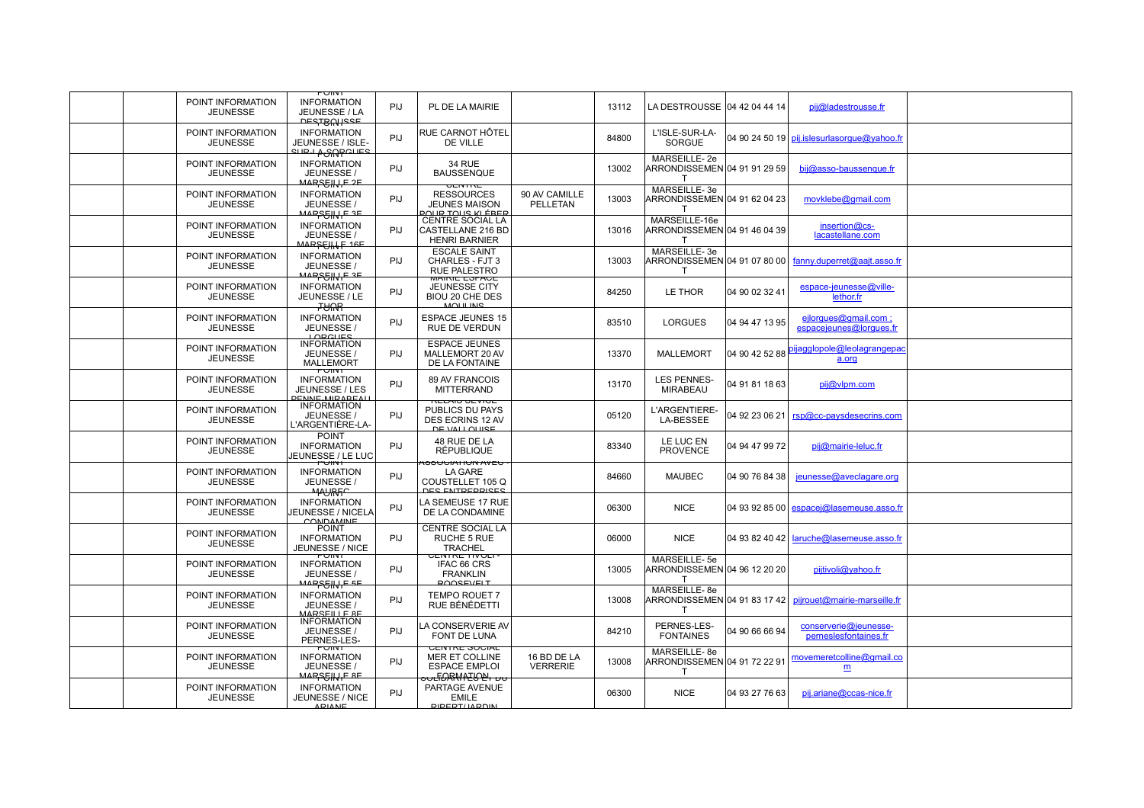|                                      | PUINT                                                                                 |            |                                                                                                               |                                  |       |                                               |                |                                                          |  |
|--------------------------------------|---------------------------------------------------------------------------------------|------------|---------------------------------------------------------------------------------------------------------------|----------------------------------|-------|-----------------------------------------------|----------------|----------------------------------------------------------|--|
| POINT INFORMATION<br><b>JEUNESSE</b> | <b>INFORMATION</b><br>JEUNESSE / LA<br><b>DESTBUNISSE</b>                             | PIJ.       | PL DE LA MAIRIE                                                                                               |                                  | 13112 | LA DESTROUSSE 04 42 04 44 14                  |                | pij@ladestrousse.fr                                      |  |
| POINT INFORMATION<br><b>JEUNESSE</b> | <b>INFORMATION</b><br>JEUNESSE / ISLE-<br>எம் <del>ப</del> ரூடுக்கொட்ட                | PIJ        | RUE CARNOT HÔTEL<br>DE VILLE                                                                                  |                                  | 84800 | L'ISLE-SUR-LA-<br><b>SORGUE</b>               |                | 04 90 24 50 19 pij.islesurlasorque@yahoo.fr              |  |
| POINT INFORMATION<br><b>JEUNESSE</b> | <b>INFORMATION</b><br>JEUNESSE /<br>MARSEHJE 2E                                       | PIJ        | <b>34 RUE</b><br><b>BAUSSENQUE</b>                                                                            |                                  | 13002 | MARSEILLE-2e<br>ARRONDISSEMEN 04 91 91 29 59  |                | bij@asso-baussenque.fr                                   |  |
| POINT INFORMATION<br><b>JEUNESSE</b> | <b>INFORMATION</b><br>JEUNESSE /<br><u>MARSSIN E 3E</u>                               | PIJ        | $\sqrt{2}$<br><b>RESSOURCES</b><br><b>JEUNES MAISON</b><br><u>POLIB TOLIS KI ÉREB</u>                         | 90 AV CAMILLE<br><b>PELLETAN</b> | 13003 | MARSEILLE-3e<br>ARRONDISSEMEN 04 91 62 04 23  |                | movklebe@gmail.com                                       |  |
| POINT INFORMATION<br><b>JEUNESSE</b> | <b>INFORMATION</b><br>JEUNESSE /                                                      | <b>PIJ</b> | CENTRE SOCIAL LA<br>CASTELLANE 216 BD<br><b>HENRI BARNIER</b>                                                 |                                  | 13016 | MARSEILLE-16e<br>ARRONDISSEMEN 04 91 46 04 39 |                | insertion@cs-<br>lacastellane.com                        |  |
| POINT INFORMATION<br><b>JEUNESSE</b> | MAR <del>SEJIN E</del> 16E<br><b>INFORMATION</b><br>JEUNESSE /<br><u>MARSEIN E 3E</u> | PIJ        | <b>ESCALE SAINT</b><br>CHARLES - FJT 3<br><b>RUE PALESTRO</b>                                                 |                                  | 13003 | MARSEILLE-3e<br>$\mathsf{T}$                  |                | ARRONDISSEMEN 04 91 07 80 00 fanny.duperret@aajt.asso.fr |  |
| POINT INFORMATION<br><b>JEUNESSE</b> | <b>INFORMATION</b><br>JEUNESSE / LE<br><b>RAHT</b>                                    | PIJ        | <b>WAINE ESPACE</b><br>JEUNESSE CITY<br>BIOU 20 CHE DES<br>MOLILINIS                                          |                                  | 84250 | LE THOR                                       | 04 90 02 32 41 | espace-jeunesse@ville-<br>lethor.fr                      |  |
| POINT INFORMATION<br><b>JEUNESSE</b> | <b>INFORMATION</b><br>JEUNESSE /<br>LOBCLIES                                          | PIJ        | <b>ESPACE JEUNES 15</b><br>RUE DE VERDUN                                                                      |                                  | 83510 | <b>LORGUES</b>                                | 04 94 47 13 95 | ejlorgues@gmail.com;<br>espacejeunes@lorques.fr          |  |
| POINT INFORMATION<br><b>JEUNESSE</b> | <b>INFORMATION</b><br>JEUNESSE /<br><b>MALLEMORT</b>                                  | PIJ        | <b>ESPACE JEUNES</b><br>MALLEMORT 20 AV<br>DE LA FONTAINE                                                     |                                  | 13370 | <b>MALLEMORT</b>                              | 04 90 42 52 88 | ijagglopole@leolagrangepac<br>a.org                      |  |
| POINT INFORMATION<br><b>JEUNESSE</b> | PUINT<br><b>INFORMATION</b><br>JEUNESSE / LES<br><b>PENNE MIRAREAL</b>                | PIJ        | 89 AV FRANCOIS<br><b>MITTERRAND</b>                                                                           |                                  | 13170 | <b>LES PENNES-</b><br><b>MIRABEAU</b>         | 04 91 81 18 63 | pij@vlpm.com                                             |  |
| POINT INFORMATION<br><b>JEUNESSE</b> | <b>INFORMATION</b><br>JEUNESSE /<br>L'ARGENTIÈRE-LA-                                  | PIJ        | <b>RELAIO OEVIUE</b><br>PUBLICS DU PAYS<br>DES ECRINS 12 AV<br>DE VALLOUISE                                   |                                  | 05120 | L'ARGENTIERE-<br>LA-BESSEE                    | 04 92 23 06 21 | rsp@cc-paysdesecrins.com                                 |  |
| POINT INFORMATION<br><b>JEUNESSE</b> | <b>POINT</b><br><b>INFORMATION</b><br>JEUNESSE / LE LUC                               | PIJ        | 48 RUE DE LA<br><b>RÉPUBLIQUE</b>                                                                             |                                  | 83340 | LE LUC EN<br><b>PROVENCE</b>                  | 04 94 47 99 72 | pij@mairie-leluc.fr                                      |  |
| POINT INFORMATION<br><b>JEUNESSE</b> | FUINT<br><b>INFORMATION</b><br>JEUNESSE /<br><b>MAURFC</b>                            | PIJ        | י טבוא אוטוואוטטכס<br><b>LA GARE</b><br>COUSTELLET 105 Q<br><b>DES ENTREPRISES</b>                            |                                  | 84660 | <b>MAUBEC</b>                                 | 04 90 76 84 38 | jeunesse@aveclagare.org                                  |  |
| POINT INFORMATION<br><b>JEUNESSE</b> | <b>INFORMATION</b><br><b>JEUNESSE / NICELA</b><br><b>CONDAMINE</b>                    | PIJ        | LA SEMEUSE 17 RUE<br>DE LA CONDAMINE                                                                          |                                  | 06300 | <b>NICE</b>                                   |                | 04 93 92 85 00 espacei@lasemeuse.asso.fr                 |  |
| POINT INFORMATION<br><b>JEUNESSE</b> | <b>POINT</b><br><b>INFORMATION</b><br>JEUNESSE / NICE                                 | PIJ        | <b>CENTRE SOCIAL LA</b><br>RUCHE 5 RUE<br><b>TRACHEL</b>                                                      |                                  | 06000 | <b>NICE</b>                                   |                | 04 93 82 40 42   laruche@lasemeuse.asso.fr               |  |
| POINT INFORMATION<br><b>JEUNESSE</b> | PUINT<br><b>INFORMATION</b><br>JEUNESSE /<br><u>MARS<del>S</del>H</u> H-E SE          | PIJ        | UENTRE TIVULI<br>IFAC 66 CRS<br><b>FRANKLIN</b><br><b>ROOSEVELT</b>                                           |                                  | 13005 | MARSEILLE-5e<br>ARRONDISSEMEN 04 96 12 20 20  |                | pijtivoli@yahoo.fr                                       |  |
| POINT INFORMATION<br><b>JEUNESSE</b> | <b>INFORMATION</b><br>JEUNESSE /<br>MARSEILLE RE                                      | PIJ        | <b>TEMPO ROUET 7</b><br>RUE BÉNÉDETTI                                                                         |                                  | 13008 | MARSEILLE-8e<br>RRONDISSEMEN 04 91 83 17 42   |                | piirouet@mairie-marseille.fr                             |  |
| POINT INFORMATION<br><b>JEUNESSE</b> | <b>INFORMATION</b><br>JEUNESSE /<br>PERNES-LES-                                       | <b>PIJ</b> | LA CONSERVERIE AV<br><b>FONT DE LUNA</b>                                                                      |                                  | 84210 | PERNES-LES-<br><b>FONTAINES</b>               | 04 90 66 66 94 | conserverie@jeunesse-<br>perneslesfontaines.fr           |  |
| POINT INFORMATION<br><b>JEUNESSE</b> | PUINT<br><b>INFORMATION</b><br>JEUNESSE /<br><b>MARSSHULE BE</b>                      | PIJ        | <b>UEIVIRE SUUIAL</b><br><b>MER ET COLLINE</b><br><b>ESPACE EMPLOI</b><br><del>ა∪Ŀᡏ<i>Ŋ</i>Ŗᡧᠰ᠌ᡃᡗᡶᡃᠠ᠂</del> ᠥ | 16 BD DE LA<br><b>VERRERIE</b>   | 13008 | MARSEILLE-8e<br>ARRONDISSEMEN 04 91 72 22 91  |                | movemeretcolline@gmail.co<br>m                           |  |
| POINT INFORMATION<br><b>JEUNESSE</b> | <b>INFORMATION</b><br>JEUNESSE / NICE<br><b>ARIANE</b>                                | PIJ        | PARTAGE AVENUE<br>EMILE<br>RIPERT/JARDIN                                                                      |                                  | 06300 | <b>NICE</b>                                   | 04 93 27 76 63 | pij.ariane@ccas-nice.fr                                  |  |
|                                      |                                                                                       |            |                                                                                                               |                                  |       |                                               |                |                                                          |  |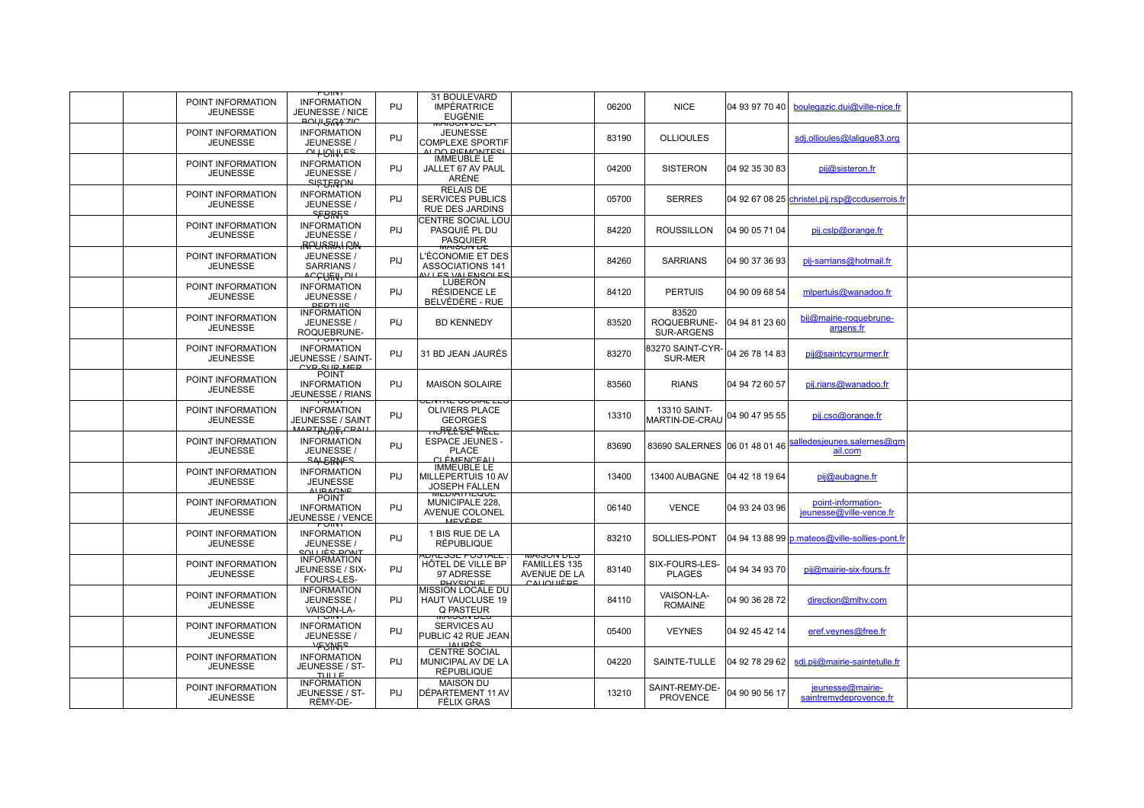| POINT INFORMATION<br><b>JEUNESSE</b> | PUINT<br><b>INFORMATION</b><br>JEUNESSE / NICE<br><b>BOLH GLAY ZIC</b>                    | PIJ        | 31 BOULEVARD<br><b>IMPÉRATRICE</b><br><b>EUGÉNIE</b>                                          |                                                  | 06200 | <b>NICE</b>                               | 04 93 97 70 40 | boulegazic.dui@ville-nice.fr                   |  |
|--------------------------------------|-------------------------------------------------------------------------------------------|------------|-----------------------------------------------------------------------------------------------|--------------------------------------------------|-------|-------------------------------------------|----------------|------------------------------------------------|--|
| POINT INFORMATION<br><b>JEUNESSE</b> | <b>INFORMATION</b><br>JEUNESSE /<br>$\Omega$ $\vdash$ $\Omega$ $\vdash$ $\vdash$ $\vdash$ | PIJ        | <b>WAISUN DE LA</b><br><b>JEUNESSE</b><br><b>COMPLEXE SPORTIF</b><br>AL DO DIEMONTESI         |                                                  | 83190 | <b>OLLIOULES</b>                          |                | sdj.ollioules@lalique83.org                    |  |
| POINT INFORMATION<br><b>JEUNESSE</b> | <b>INFORMATION</b><br>JEUNESSE /                                                          | PIJ        | <b>IMMEUBLE LE</b><br>JALLET 67 AV PAUL<br>ARÈNE                                              |                                                  | 04200 | <b>SISTERON</b>                           | 04 92 35 30 83 | pij@sisteron.fr                                |  |
| POINT INFORMATION<br><b>JEUNESSE</b> | <b>SISTERAN</b><br><b>INFORMATION</b><br>JEUNESSE /<br><b>SEBRES</b>                      | PIJ        | <b>RELAIS DE</b><br><b>SERVICES PUBLICS</b><br><b>RUE DES JARDINS</b>                         |                                                  | 05700 | <b>SERRES</b>                             |                | 04 92 67 08 25 christel.pij.rsp@ccduserrois.fr |  |
| POINT INFORMATION<br><b>JEUNESSE</b> | <b>INFORMATION</b><br>JEUNESSE /                                                          | PIJ        | <b>CENTRE SOCIAL LOU</b><br>PASQUIÉ PL DU<br><b>PASQUIER</b>                                  |                                                  | 84220 | <b>ROUSSILLON</b>                         | 04 90 05 71 04 | pij.cslp@orange.fr                             |  |
| POINT INFORMATION<br><b>JEUNESSE</b> | <b>IRAYESIYAH AJN</b><br>JEUNESSE /<br>SARRIANS /<br>ᢦᡄ᠍ᡄᡗᡰᡛᠰ᠊ᠳ                           | PIJ        | <u>אט אוטכואזא</u><br>L'ÉCONOMIE ET DES<br><b>ASSOCIATIONS 141</b><br><u>WILES VALENSOLES</u> |                                                  | 84260 | <b>SARRIANS</b>                           | 04 90 37 36 93 | pij-sarrians@hotmail.fr                        |  |
| POINT INFORMATION<br><b>JEUNESSE</b> | <b>INFORMATION</b><br>JEUNESSE /<br><b>PERTIUS</b>                                        | PIJ        | LUBERON<br>RÉSIDENCE LE<br>BELVÉDÈRE - RUE                                                    |                                                  | 84120 | <b>PERTUIS</b>                            | 04 90 09 68 54 | mlpertuis@wanadoo.fr                           |  |
| POINT INFORMATION<br><b>JEUNESSE</b> | <b>INFORMATION</b><br>JEUNESSE /<br>ROQUEBRUNE-                                           | PIJ        | <b>BD KENNEDY</b>                                                                             |                                                  | 83520 | 83520<br>ROQUEBRUNE-<br><b>SUR-ARGENS</b> | 04 94 81 23 60 | bij@mairie-roquebrune-<br>argens.fr            |  |
| POINT INFORMATION<br><b>JEUNESSE</b> | PUINT<br><b>INFORMATION</b><br>JEUNESSE / SAINT-<br>CVR SUR MER                           | PIJ        | 31 BD JEAN JAURÈS                                                                             |                                                  | 83270 | 83270 SAINT-CYR-<br><b>SUR-MER</b>        | 04 26 78 14 83 | pij@saintcyrsurmer.fr                          |  |
| POINT INFORMATION<br><b>JEUNESSE</b> | <b>POINT</b><br><b>INFORMATION</b><br>JEUNESSE / RIANS                                    | PIJ        | <b>MAISON SOLAIRE</b>                                                                         |                                                  | 83560 | <b>RIANS</b>                              | 04 94 72 60 57 | pij.rians@wanadoo.fr                           |  |
| POINT INFORMATION<br><b>JEUNESSE</b> | PUINT<br><b>INFORMATION</b><br>JEUNESSE / SAINT<br><b>MARTIAURE CRALL</b>                 | PIJ        | <b>JEIVINE JUURL LEJ</b><br>OLIVIERS PLACE<br><b>GEORGES</b><br>᠇ᠡᠸ <del>᠋ᠲᡃᢄᡶᢄᢄᡛᢂ</del> ᢄᡄᡄ  |                                                  | 13310 | 13310 SAINT-<br><b>MARTIN-DE-CRAU</b>     | 04 90 47 95 55 | pij.cso@orange.fr                              |  |
| POINT INFORMATION<br><b>JEUNESSE</b> | <b>INFORMATION</b><br>JEUNESSE /<br><b>SALERNES</b>                                       | PIJ        | <b>ESPACE JEUNES -</b><br><b>PLACE</b><br><u>CLÉMENCEAU</u>                                   |                                                  | 83690 | 83690 SALERNES   06 01 48 01 46           |                | alledesjeunes.salernes@gm<br>ail.com           |  |
| POINT INFORMATION<br><b>JEUNESSE</b> | <b>INFORMATION</b><br><b>JEUNESSE</b><br><b>ALIBAGNE</b>                                  | PIJ        | <b>IMMEUBLE LE</b><br>MILLEPERTUIS 10 AV<br><b>JOSEPH FALLEN</b>                              |                                                  | 13400 | 13400 AUBAGNE                             | 04 42 18 19 64 | pij@aubagne.fr                                 |  |
| POINT INFORMATION<br><b>JEUNESSE</b> | <b>POINT</b><br><b>INFORMATION</b><br>JEUNESSE / VENCE<br>PUINT                           | PIJ        | <b>WEDIATHEQUE</b><br>MUNICIPALE 228,<br>AVENUE COLONEL<br><b>MEVÈDE</b>                      |                                                  | 06140 | <b>VENCE</b>                              | 04 93 24 03 96 | point-information-<br>jeunesse@ville-vence.fr  |  |
| POINT INFORMATION<br><b>JEUNESSE</b> | <b>INFORMATION</b><br>JEUNESSE /<br>SOLL LÈS DONT                                         | PIJ        | 1 BIS RUE DE LA<br><b>RÉPUBLIQUE</b><br>NUREOOE PUOTALE                                       | סשע מוטפואזא                                     | 83210 | SOLLIES-PONT                              |                | 04 94 13 88 99 p.mateos@ville-sollies-pont.fr  |  |
| POINT INFORMATION<br><b>JEUNESSE</b> | <b>INFORMATION</b><br>JEUNESSE / SIX-<br><b>FOURS-LES-</b>                                | PIJ        | HÖTEL DE VILLE BP<br>97 ADRESSE<br><b>PHYSIQUE</b>                                            | <b>FAMILLES 135</b><br>AVENUE DE LA<br>CAUQUIÈRE | 83140 | SIX-FOURS-LES-<br><b>PLAGES</b>           | 04 94 34 93 70 | pij@mairie-six-fours.fr                        |  |
| POINT INFORMATION<br><b>JEUNESSE</b> | <b>INFORMATION</b><br>JEUNESSE /<br>VAISON-LA-<br>PUINT                                   | PIJ        | <b>MISSION LOCALE DU</b><br><b>HAUT VAUCLUSE 19</b><br>Q PASTEUR<br>MAIGUN DEG                |                                                  | 84110 | VAISON-LA-<br><b>ROMAINE</b>              | 04 90 36 28 72 | direction@mlhv.com                             |  |
| POINT INFORMATION<br><b>JEUNESSE</b> | <b>INFORMATION</b><br>JEUNESSE /<br><b>HEAVLES</b>                                        | PIJ        | SERVICES AU<br>PUBLIC 42 RUE JEAN<br><b>ALIBÈS</b>                                            |                                                  | 05400 | <b>VEYNES</b>                             | 04 92 45 42 14 | eref.veynes@free.fr                            |  |
| POINT INFORMATION<br><b>JEUNESSE</b> | <b>INFORMATION</b><br>JEUNESSE / ST-<br>THE E                                             | PIJ        | <b>CENTRE SOCIAL</b><br>MUNICIPAL AV DE LA<br><b>RÉPUBLIQUE</b>                               |                                                  | 04220 | SAINTE-TULLE                              | 04 92 78 29 62 | sdj.pij@mairie-saintetulle.fr                  |  |
| POINT INFORMATION<br><b>JEUNESSE</b> | <b>INFORMATION</b><br>JEUNESSE / ST-<br>RÉMY-DE-                                          | <b>PIJ</b> | <b>MAISON DU</b><br>IDÉPARTEMENT 11 AV<br>FÉLIX GRAS                                          |                                                  | 13210 | SAINT-REMY-DE-<br><b>PROVENCE</b>         | 04 90 90 56 17 | jeunesse@mairie-<br>saintremydeprovence.fr     |  |
|                                      |                                                                                           |            |                                                                                               |                                                  |       |                                           |                |                                                |  |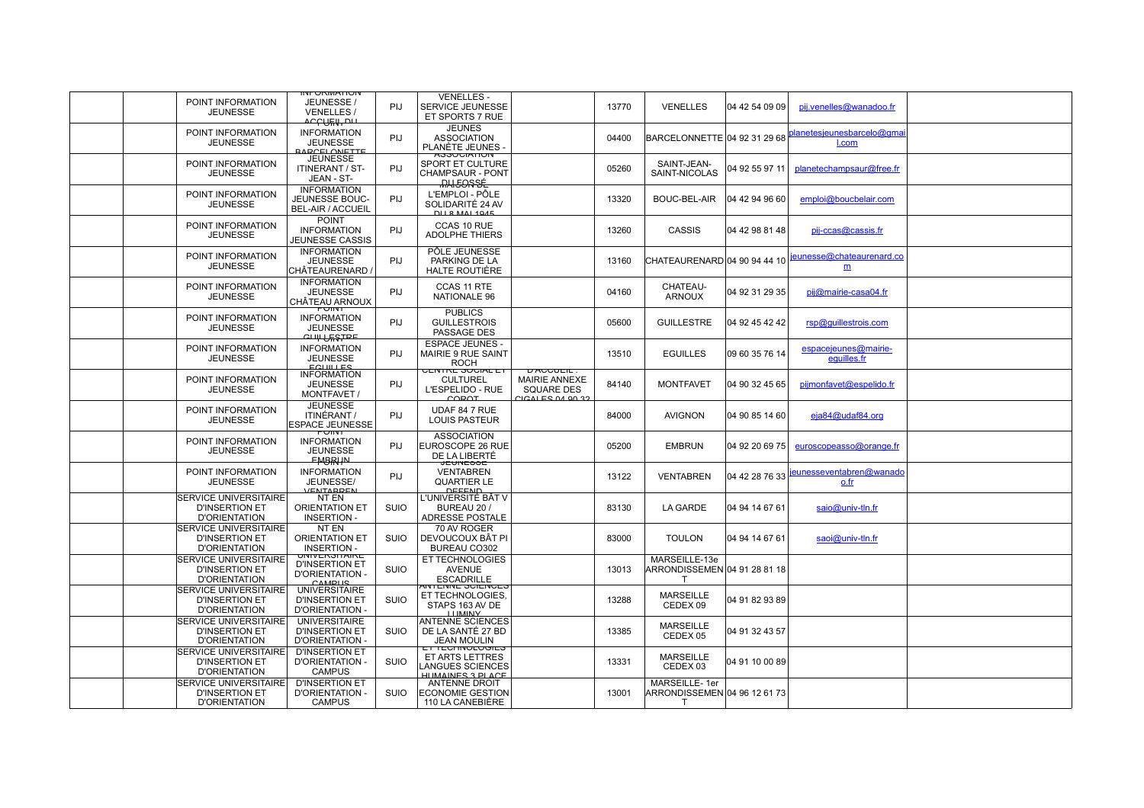| POINT INFORMATION<br><b>JEUNESSE</b>                                           | <b>ייטרואזיטראט</b><br>JEUNESSE<br><b>VENELLES</b><br>᠊᠍ᡘ᠆ᢄᡃᢕᠮᡰᠰ᠇ᡨ      | PIJ.        | <b>VENELLES -</b><br>SERVICE JEUNESSE<br>ET SPORTS 7 RUE                                       |                                                                  | 13770 | <b>VENELLES</b>                                           | 04 42 54 09 09 | pij.venelles@wanadoo.fr             |  |
|--------------------------------------------------------------------------------|-------------------------------------------------------------------------|-------------|------------------------------------------------------------------------------------------------|------------------------------------------------------------------|-------|-----------------------------------------------------------|----------------|-------------------------------------|--|
| POINT INFORMATION<br><b>JEUNESSE</b>                                           | <b>INFORMATION</b><br><b>JEUNESSE</b><br>RARCELONETTE                   | PIJ         | <b>JEUNES</b><br><b>ASSOCIATION</b><br>PLANÈTE JEUNES                                          |                                                                  | 04400 | BARCELONNETTE 04 92 31 29 68                              |                | planetesjeunesbarcelo@gma<br>I.com  |  |
| POINT INFORMATION<br><b>JEUNESSE</b>                                           | <b>JEUNESSE</b><br><b>ITINERANT / ST-</b><br>JEAN - ST-                 | <b>PIJ</b>  | <b>ASSUCIATIUN</b><br>SPORT ET CULTURE<br><b>CHAMPSAUR - PONT</b><br><b>MAI5OSEE</b>           |                                                                  | 05260 | SAINT-JEAN-<br>SAINT-NICOLAS                              | 04 92 55 97 11 | planetechampsaur@free.fr            |  |
| POINT INFORMATION<br><b>JEUNESSE</b>                                           | <b>INFORMATION</b><br>JEUNESSE BOUC-<br><b>BEL-AIR / ACCUEIL</b>        | PIJ         | L'EMPLOI - PÔLE<br>SOLIDARITÉ 24 AV<br>DU 8 MAI 1045                                           |                                                                  | 13320 | BOUC-BEL-AIR                                              | 04 42 94 96 60 | emploi@boucbelair.com               |  |
| POINT INFORMATION<br><b>JEUNESSE</b>                                           | <b>POINT</b><br><b>INFORMATION</b><br><b>JEUNESSE CASSIS</b>            | PIJ         | CCAS 10 RUE<br><b>ADOLPHE THIERS</b>                                                           |                                                                  | 13260 | CASSIS                                                    | 04 42 98 81 48 | pij-ccas@cassis.fr                  |  |
| POINT INFORMATION<br><b>JEUNESSE</b>                                           | <b>INFORMATION</b><br><b>JEUNESSE</b><br>CHÂTEAURENARD                  | PIJ         | PÔLE JEUNESSE<br>PARKING DE LA<br><b>HALTE ROUTIÈRE</b>                                        |                                                                  | 13160 | CHATEAURENARD 04 90 94 44 10                              |                | jeunesse@chateaurenard.co<br>m      |  |
| POINT INFORMATION<br><b>JEUNESSE</b>                                           | <b>INFORMATION</b><br><b>JEUNESSE</b><br>CHÂTEAU ARNOUX                 | PIJ         | CCAS 11 RTE<br>NATIONALE 96                                                                    |                                                                  | 04160 | CHATEAU-<br><b>ARNOUX</b>                                 | 04 92 31 29 35 | pij@mairie-casa04.fr                |  |
| POINT INFORMATION<br><b>JEUNESSE</b>                                           | PUINT<br><b>INFORMATION</b><br><b>JEUNESSE</b><br><del>CULLUESTRE</del> | PIJ         | <b>PUBLICS</b><br><b>GUILLESTROIS</b><br><b>PASSAGE DES</b>                                    |                                                                  | 05600 | <b>GUILLESTRE</b>                                         | 04 92 45 42 42 | rsp@guillestrois.com                |  |
| POINT INFORMATION<br><b>JEUNESSE</b>                                           | <b>INFORMATION</b><br><b>JEUNESSE</b><br>$F$ CHILLES                    | PIJ         | <b>ESPACE JEUNES -</b><br><b>MAIRIE 9 RUE SAINT</b><br><b>ROCH</b><br><u>UEIVIRE SUUIAL ET</u> | <b>DAUGUEIL</b>                                                  | 13510 | <b>EGUILLES</b>                                           | 09 60 35 76 14 | espacejeunes@mairie-<br>equilles.fr |  |
| POINT INFORMATION<br><b>JEUNESSE</b>                                           | <b>INFORMATION</b><br><b>JEUNESSE</b><br>MONTFAVET /                    | <b>PIJ</b>  | <b>CULTUREL</b><br>L'ESPELIDO - RUE<br>COROT                                                   | <b>MAIRIE ANNEXE</b><br><b>SQUARE DES</b><br>$C $ CALES 04.90.32 | 84140 | <b>MONTFAVET</b>                                          | 04 90 32 45 65 | pijmonfavet@espelido.fr             |  |
| POINT INFORMATION<br><b>JEUNESSE</b>                                           | <b>JEUNESSE</b><br><b>ITINÉRANT /</b><br><b>ESPACE JEUNESSE</b>         | <b>PIJ</b>  | UDAF 84 7 RUE<br><b>LOUIS PASTEUR</b>                                                          |                                                                  | 84000 | <b>AVIGNON</b>                                            | 04 90 85 14 60 | $e$ ja $84$ @udaf $84.$ org         |  |
| POINT INFORMATION<br><b>JEUNESSE</b>                                           | PUINT<br><b>INFORMATION</b><br><b>JEUNESSE</b><br><b>FMBRHAL</b>        | PIJ         | <b>ASSOCIATION</b><br>EUROSCOPE 26 RUE<br>DE LA LIBERTÉ                                        |                                                                  | 05200 | <b>EMBRUN</b>                                             | 04 92 20 69 75 | euroscopeasso@orange.fr             |  |
| POINT INFORMATION<br><b>JEUNESSE</b>                                           | <b>INFORMATION</b><br>JEUNESSE/<br>VENTARREN                            | PIJ         | <b>JEUNEOOE</b><br><b>VENTABREN</b><br><b>QUARTIER LE</b><br>DEEEND                            |                                                                  | 13122 | VENTABREN                                                 | 04 42 28 76 33 | jeunesseventabren@wanado<br>o.fr    |  |
| <b>ISERVICE UNIVERSITAIRE</b><br><b>D'INSERTION ET</b><br><b>D'ORIENTATION</b> | NT EN<br><b>ORIENTATION ET</b><br><b>INSERTION-</b>                     | <b>SUIO</b> | L'UNIVERSITÉ BAT V<br>BUREAU 20 /<br><b>ADRESSE POSTALE</b>                                    |                                                                  | 83130 | <b>LA GARDE</b>                                           | 04 94 14 67 61 | saio@univ-tln.fr                    |  |
| <b>SERVICE UNIVERSITAIRE</b><br><b>D'INSERTION ET</b><br><b>D'ORIENTATION</b>  | NT EN<br><b>ORIENTATION ET</b><br><b>INSERTION -</b>                    | SUIO        | 70 AV ROGER<br>DEVOUCOUX BÂT PI<br>BUREAU CO302                                                |                                                                  | 83000 | <b>TOULON</b>                                             | 04 94 14 67 61 | saoi@univ-tln.fr                    |  |
| <b>SERVICE UNIVERSITAIRE</b><br>D'INSERTION ET<br><b>D'ORIENTATION</b>         | UNIVERSITAIRE<br><b>D'INSERTION ET</b><br>D'ORIENTATION -<br>CAMPUS     | <b>SUIO</b> | ET TECHNOLOGIES<br><b>AVENUE</b><br><b>ESCADRILLE</b>                                          |                                                                  | 13013 | MARSEILLE-13e<br>ARRONDISSEMEN $\mid$ 04 91 28 81 18<br>т |                |                                     |  |
| <b>ISERVICE UNIVERSITAIRE</b><br><b>D'INSERTION ET</b><br><b>D'ORIENTATION</b> | <b>UNIVERSITAIRE</b><br><b>D'INSERTION ET</b><br>D'ORIENTATION          | <b>SUIO</b> | ANTENNE SUIENUES<br>ET TECHNOLOGIES,<br>STAPS 163 AV DE<br><b>LEIMINIV</b>                     |                                                                  | 13288 | <b>MARSEILLE</b><br>CEDEX 09                              | 04 91 82 93 89 |                                     |  |
| <b>SERVICE UNIVERSITAIRE</b><br><b>D'INSERTION ET</b><br><b>D'ORIENTATION</b>  | <b>UNIVERSITAIRE</b><br>D'INSERTION ET<br><b>D'ORIENTATION -</b>        | SUIO        | ANTENNE SCIENCES<br>DE LA SANTÉ 27 BD<br><b>JEAN MOULIN</b>                                    |                                                                  | 13385 | <b>MARSEILLE</b><br>CEDEX 05                              | 04 91 32 43 57 |                                     |  |
| <b>ISERVICE UNIVERSITAIRE</b><br><b>D'INSERTION ET</b><br><b>D'ORIENTATION</b> | <b>D'INSERTION ET</b><br><b>D'ORIENTATION -</b><br><b>CAMPUS</b>        | <b>SUIO</b> | <b>ETTEUMNULUGIES</b><br><b>ET ARTS LETTRES</b><br>ANGUES SCIENCES<br>HIMAINES 3 DI ACE        |                                                                  | 13331 | <b>MARSEILLE</b><br>CEDEX 03                              | 04 91 10 00 89 |                                     |  |
| <b>SERVICE UNIVERSITAIRE</b><br><b>D'INSERTION ET</b><br><b>D'ORIENTATION</b>  | <b>D'INSERTION ET</b><br>D'ORIENTATION -<br><b>CAMPUS</b>               | <b>SUIO</b> | <b>ANTENNE DROIT</b><br>ECONOMIE GESTION<br>110 LA CANEBIÈRE                                   |                                                                  | 13001 | MARSEILLE-1er<br>ARRONDISSEMEN 04 96 12 61 73<br>т        |                |                                     |  |